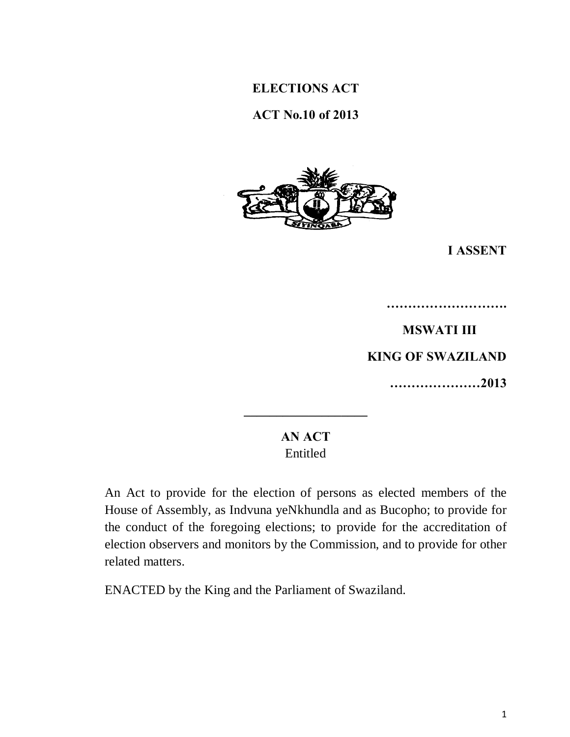# **ELECTIONS ACT**

# **ACT No.10 of 2013**



**I ASSENT**

**MSWATI III KING OF SWAZILAND …………………2013** 

**……………………….**

# **AN ACT** Entitled

**\_\_\_\_\_\_\_\_\_\_\_\_\_\_\_\_\_\_\_** 

An Act to provide for the election of persons as elected members of the House of Assembly, as Indvuna yeNkhundla and as Bucopho; to provide for the conduct of the foregoing elections; to provide for the accreditation of election observers and monitors by the Commission, and to provide for other related matters.

ENACTED by the King and the Parliament of Swaziland.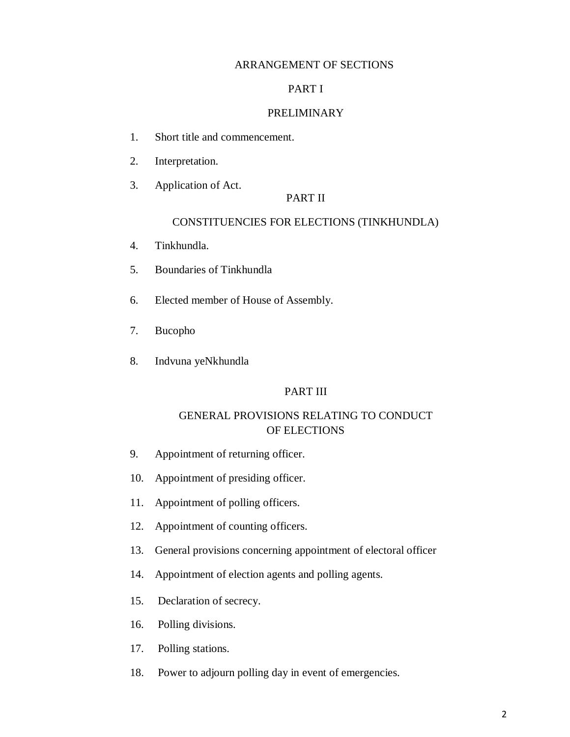#### ARRANGEMENT OF SECTIONS

#### PART I

#### PRELIMINARY

- 1. Short title and commencement.
- 2. Interpretation.
- 3. Application of Act.

#### PART II

#### CONSTITUENCIES FOR ELECTIONS (TINKHUNDLA)

- 4. Tinkhundla.
- 5. Boundaries of Tinkhundla
- 6. Elected member of House of Assembly.
- 7. Bucopho
- 8. Indvuna yeNkhundla

#### PART III

### GENERAL PROVISIONS RELATING TO CONDUCT OF ELECTIONS

- 9. Appointment of returning officer.
- 10. Appointment of presiding officer.
- 11. Appointment of polling officers.
- 12. Appointment of counting officers.
- 13. General provisions concerning appointment of electoral officer
- 14. Appointment of election agents and polling agents.
- 15. Declaration of secrecy.
- 16. Polling divisions.
- 17. Polling stations.
- 18. Power to adjourn polling day in event of emergencies.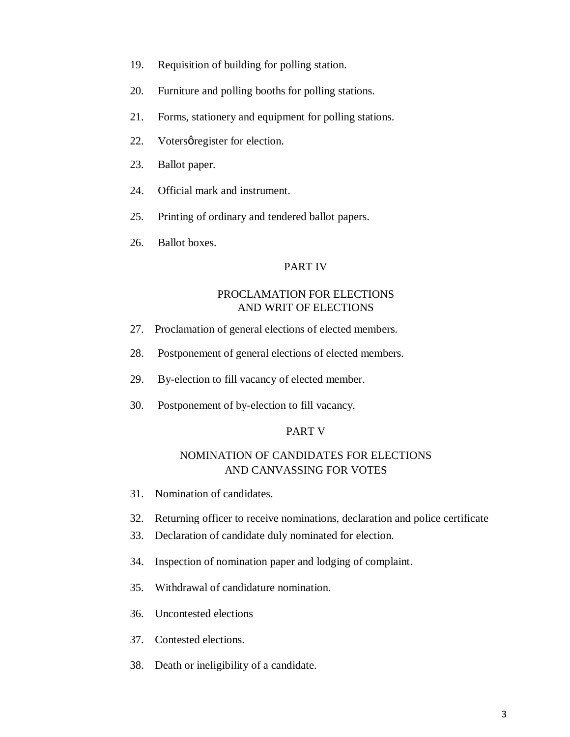- 19. Requisition of building for polling station.
- 20. Furniture and polling booths for polling stations.
- 21. Forms, stationery and equipment for polling stations.
- 22. Votersø register for election.
- 23. Ballot paper.
- 24. Official mark and instrument.
- 25. Printing of ordinary and tendered ballot papers.
- 26. Ballot boxes.

#### PART IV

#### PROCLAMATION FOR ELECTIONS AND WRIT OF ELECTIONS

- 27. Proclamation of general elections of elected members.
- 28. Postponement of general elections of elected members.
- 29. By-election to fill vacancy of elected member.
- 30. Postponement of by-election to fill vacancy.

#### PART V

### NOMINATION OF CANDIDATES FOR ELECTIONS AND CANVASSING FOR VOTES

- 31. Nomination of candidates.
- 32. Returning officer to receive nominations, declaration and police certificate
- 33. Declaration of candidate duly nominated for election.
- 34. Inspection of nomination paper and lodging of complaint.
- 35. Withdrawal of candidature nomination.
- 36. Uncontested elections
- 37. Contested elections.
- 38. Death or ineligibility of a candidate.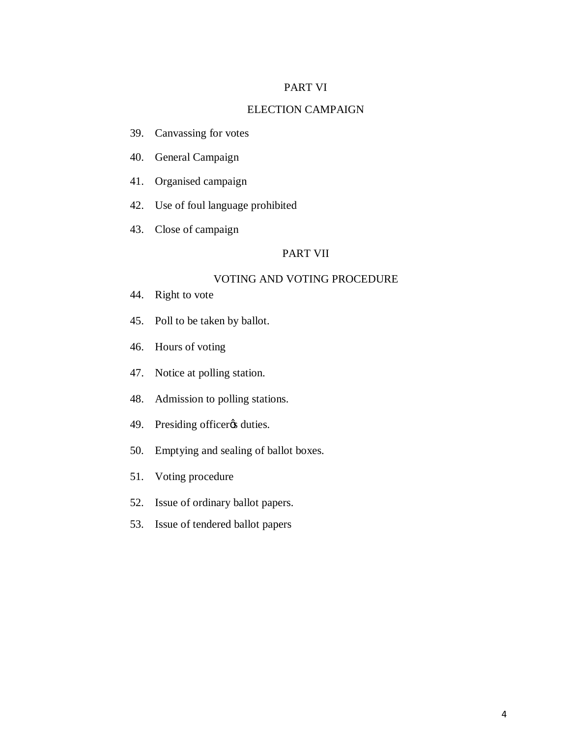#### PART VI

#### ELECTION CAMPAIGN

- 39. Canvassing for votes
- 40. General Campaign
- 41. Organised campaign
- 42. Use of foul language prohibited
- 43. Close of campaign

#### PART VII

#### VOTING AND VOTING PROCEDURE

- 44. Right to vote
- 45. Poll to be taken by ballot.
- 46. Hours of voting
- 47. Notice at polling station.
- 48. Admission to polling stations.
- 49. Presiding officer<sub>*o*s</sub> duties.
- 50. Emptying and sealing of ballot boxes.
- 51. Voting procedure
- 52. Issue of ordinary ballot papers.
- 53. Issue of tendered ballot papers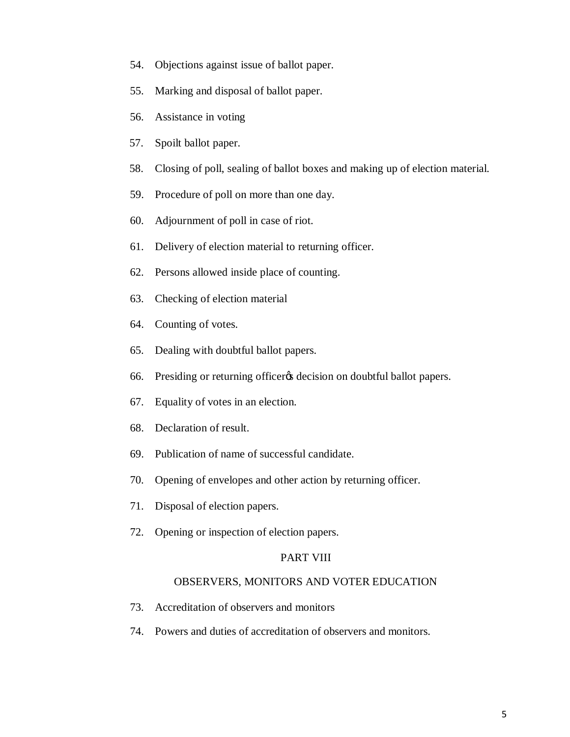- 54. Objections against issue of ballot paper.
- 55. Marking and disposal of ballot paper.
- 56. Assistance in voting
- 57. Spoilt ballot paper.
- 58. Closing of poll, sealing of ballot boxes and making up of election material.
- 59. Procedure of poll on more than one day.
- 60. Adjournment of poll in case of riot.
- 61. Delivery of election material to returning officer.
- 62. Persons allowed inside place of counting.
- 63. Checking of election material
- 64. Counting of votes.
- 65. Dealing with doubtful ballot papers.
- 66. Presiding or returning officer *(secision on doubtful ballot papers*).
- 67. Equality of votes in an election.
- 68. Declaration of result.
- 69. Publication of name of successful candidate.
- 70. Opening of envelopes and other action by returning officer.
- 71. Disposal of election papers.
- 72. Opening or inspection of election papers.

#### PART VIII

#### OBSERVERS, MONITORS AND VOTER EDUCATION

- 73. Accreditation of observers and monitors
- 74. Powers and duties of accreditation of observers and monitors.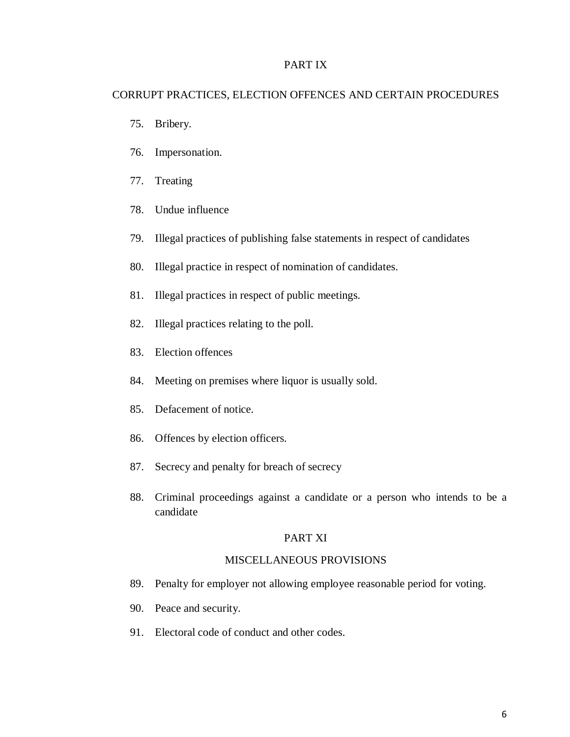#### PART IX

#### CORRUPT PRACTICES, ELECTION OFFENCES AND CERTAIN PROCEDURES

- 75. Bribery.
- 76. Impersonation.
- 77. Treating
- 78. Undue influence
- 79. Illegal practices of publishing false statements in respect of candidates
- 80. Illegal practice in respect of nomination of candidates.
- 81. Illegal practices in respect of public meetings.
- 82. Illegal practices relating to the poll.
- 83. Election offences
- 84. Meeting on premises where liquor is usually sold.
- 85. Defacement of notice.
- 86. Offences by election officers.
- 87. Secrecy and penalty for breach of secrecy
- 88. Criminal proceedings against a candidate or a person who intends to be a candidate

### PART XI

#### MISCELLANEOUS PROVISIONS

- 89. Penalty for employer not allowing employee reasonable period for voting.
- 90. Peace and security.
- 91. Electoral code of conduct and other codes.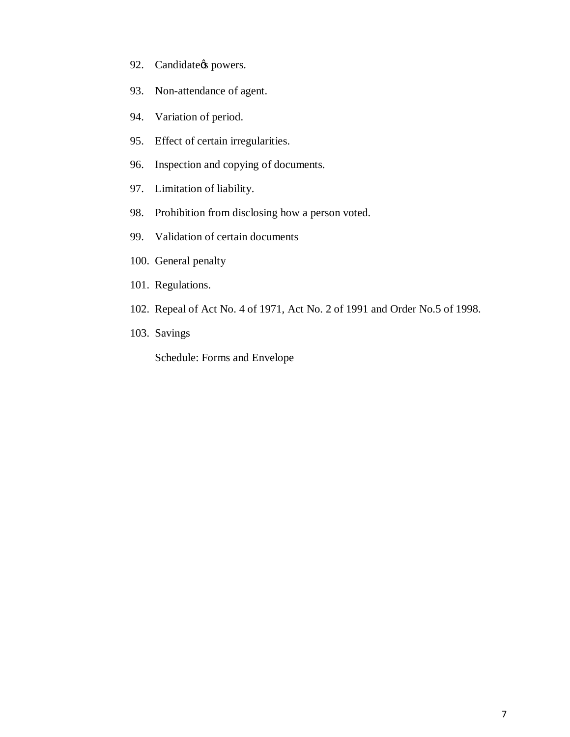- 92. Candidate<sub>/s</sub> powers.
- 93. Non-attendance of agent.
- 94. Variation of period.
- 95. Effect of certain irregularities.
- 96. Inspection and copying of documents.
- 97. Limitation of liability.
- 98. Prohibition from disclosing how a person voted.
- 99. Validation of certain documents
- 100. General penalty
- 101. Regulations.
- 102. Repeal of Act No. 4 of 1971, Act No. 2 of 1991 and Order No.5 of 1998.
- 103. Savings

Schedule: Forms and Envelope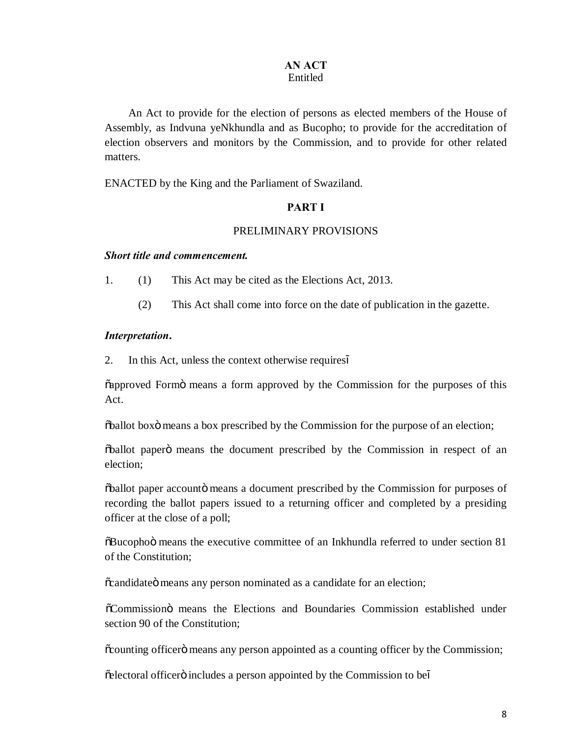# **AN ACT**

# Entitled

An Act to provide for the election of persons as elected members of the House of Assembly, as Indvuna yeNkhundla and as Bucopho; to provide for the accreditation of election observers and monitors by the Commission, and to provide for other related matters.

ENACTED by the King and the Parliament of Swaziland.

### **PART I**

#### PRELIMINARY PROVISIONS

#### *Short title and commencement.*

1. (1) This Act may be cited as the Elections Act, 2013.

(2) This Act shall come into force on the date of publication in the gazette.

#### *Interpretation***.**

2. In this Act, unless the context otherwise requires

 $\alpha$  approved Form approved by the Commission for the purposes of this Act.

 $\delta$ ballot boxo means a box prescribed by the Commission for the purpose of an election;

 $\ddot{\text{oball}}$  paper $\ddot{\text{o}}$  means the document prescribed by the Commission in respect of an election;

 $\delta$ ballot paper accounto means a document prescribed by the Commission for purposes of recording the ballot papers issued to a returning officer and completed by a presiding officer at the close of a poll;

 $\delta$ Bucophoö means the executive committee of an Inkhundla referred to under section 81 of the Constitution;

 $\tilde{\text{c}}$  candidate  $\ddot{\text{o}}$  means any person nominated as a candidate for an election;

"Commission" means the Elections and Boundaries Commission established under section 90 of the Constitution;

 $\alpha$  counting officer omeans any person appointed as a counting officer by the Commission;

 $\tilde{\text{e}}$  electoral officero includes a person appointed by the Commission to be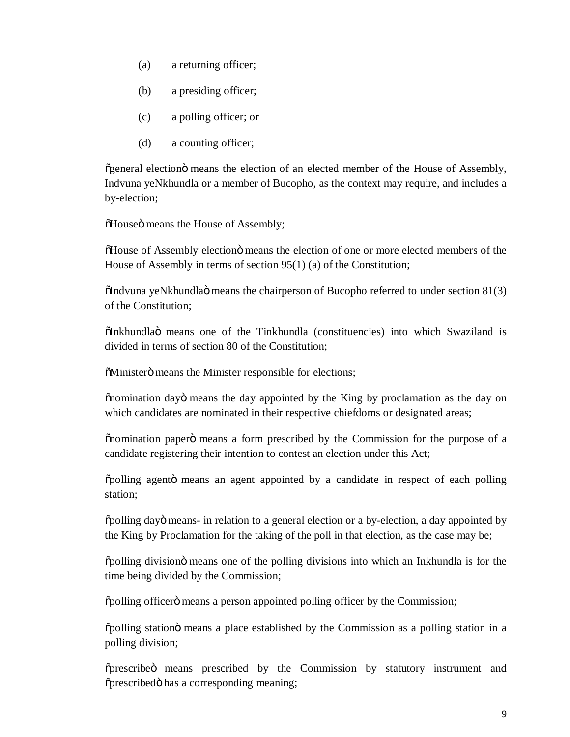- (a) a returning officer;
- (b) a presiding officer;
- (c) a polling officer; or
- (d) a counting officer;

 $\tilde{g}$ general election $\ddot{o}$  means the election of an elected member of the House of Assembly, Indvuna yeNkhundla or a member of Bucopho, as the context may require, and includes a by-election;

 $\tilde{\text{o}}$  House of Assembly;

 $\delta$ House of Assembly election $\ddot{o}$  means the election of one or more elected members of the House of Assembly in terms of section 95(1) (a) of the Constitution;

 $\ddot{\text{O}}$  indvuna yeNkhundla $\ddot{\text{o}}$  means the chairperson of Bucopho referred to under section 81(3) of the Constitution;

"Inkhundla" means one of the Tinkhundla (constituencies) into which Swaziland is divided in terms of section 80 of the Constitution;

 $\delta$ Ministerö means the Minister responsible for elections;

 $\ddot{\text{on}}$  omination dayo means the day appointed by the King by proclamation as the day on which candidates are nominated in their respective chiefdoms or designated areas;

 $\ddot{\text{on}}$  means a form prescribed by the Commission for the purpose of a candidate registering their intention to contest an election under this Act;

 $\delta$ polling agento means an agent appointed by a candidate in respect of each polling station;

 $\delta$ polling day $\ddot{o}$  means- in relation to a general election or a by-election, a day appointed by the King by Proclamation for the taking of the poll in that election, as the case may be;

 $\delta$  polling division means one of the polling divisions into which an Inkhundla is for the time being divided by the Commission;

 $\delta$ polling officer $\ddot{o}$  means a person appointed polling officer by the Commission;

 $\delta$  polling station means a place established by the Commission as a polling station in a polling division;

 $\tilde{\sigma}$  prescribed by the Commission by statutory instrument and  $\tilde{\text{op}}$  prescribed  $\tilde{\text{op}}$  has a corresponding meaning;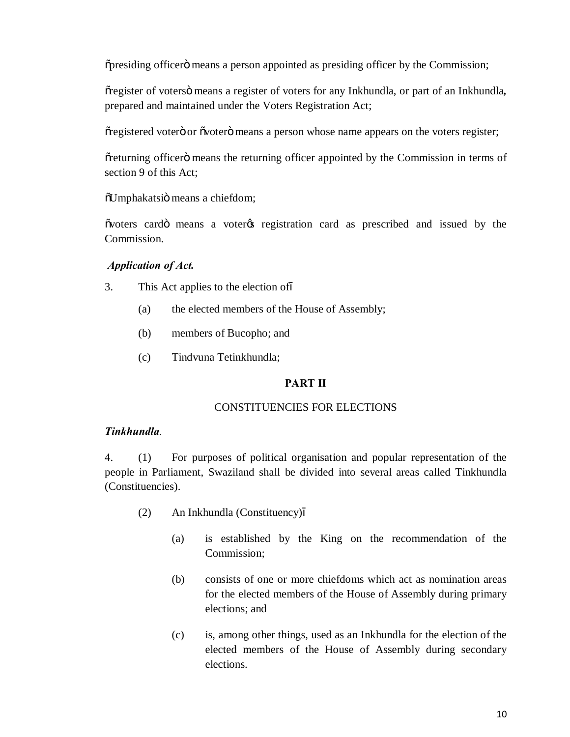$\tilde{\sigma}$  presiding officer  $\tilde{\sigma}$  means a person appointed as presiding officer by the Commission;

 $\tilde{c}$  register of voters $\ddot{o}$  means a register of voters for any Inkhundla, or part of an Inkhundla, prepared and maintained under the Voters Registration Act;

 $\tilde{\sigma}$  registered voter $\ddot{\sigma}$  or  $\ddot{\sigma}$  over  $\ddot{\sigma}$  means a person whose name appears on the voters register;

 $\tilde{\sigma}$  eturning officer imeans the returning officer appointed by the Commission in terms of section 9 of this Act;

 $\tilde{\text{ou}}$  oUmphakatsiö means a chiefdom;

 $\tilde{\text{ov}}$  voters card means a voter the registration card as prescribed and issued by the Commission.

### *Application of Act.*

- 3. This Act applies to the election of
	- (a) the elected members of the House of Assembly;
	- (b) members of Bucopho; and
	- (c) Tindvuna Tetinkhundla;

### **PART II**

#### CONSTITUENCIES FOR ELECTIONS

#### *Tinkhundla.*

4. (1) For purposes of political organisation and popular representation of the people in Parliament, Swaziland shall be divided into several areas called Tinkhundla (Constituencies).

- (2) An Inkhundla (Constituency)
	- (a) is established by the King on the recommendation of the Commission;
	- (b) consists of one or more chiefdoms which act as nomination areas for the elected members of the House of Assembly during primary elections; and
	- (c) is, among other things, used as an Inkhundla for the election of the elected members of the House of Assembly during secondary elections.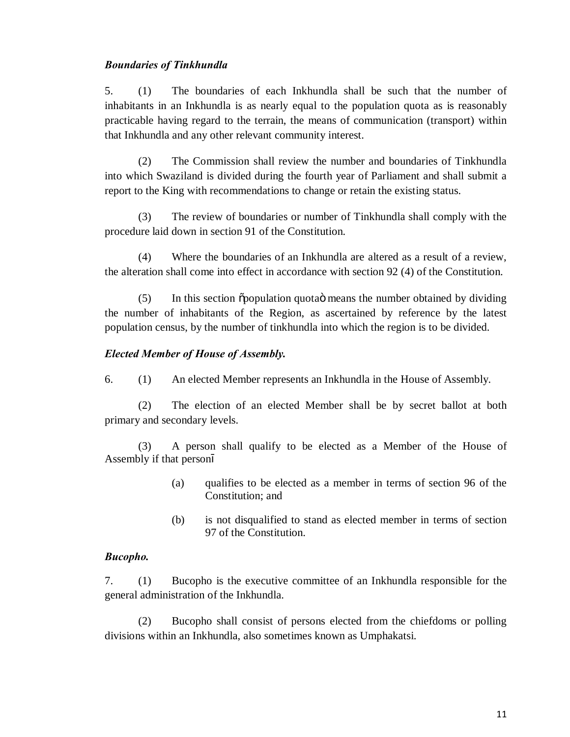#### *Boundaries of Tinkhundla*

5. (1) The boundaries of each Inkhundla shall be such that the number of inhabitants in an Inkhundla is as nearly equal to the population quota as is reasonably practicable having regard to the terrain, the means of communication (transport) within that Inkhundla and any other relevant community interest.

(2) The Commission shall review the number and boundaries of Tinkhundla into which Swaziland is divided during the fourth year of Parliament and shall submit a report to the King with recommendations to change or retain the existing status.

(3) The review of boundaries or number of Tinkhundla shall comply with the procedure laid down in section 91 of the Constitution.

(4) Where the boundaries of an Inkhundla are altered as a result of a review, the alteration shall come into effect in accordance with section 92 (4) of the Constitution.

 $(5)$  In this section  $\delta$  population quota  $\delta$  means the number obtained by dividing the number of inhabitants of the Region, as ascertained by reference by the latest population census, by the number of tinkhundla into which the region is to be divided.

#### *Elected Member of House of Assembly.*

6. (1) An elected Member represents an Inkhundla in the House of Assembly.

(2) The election of an elected Member shall be by secret ballot at both primary and secondary levels.

(3) A person shall qualify to be elected as a Member of the House of Assembly if that person

- (a) qualifies to be elected as a member in terms of section 96 of the Constitution; and
- (b) is not disqualified to stand as elected member in terms of section 97 of the Constitution.

#### *Bucopho.*

7. (1) Bucopho is the executive committee of an Inkhundla responsible for the general administration of the Inkhundla.

(2) Bucopho shall consist of persons elected from the chiefdoms or polling divisions within an Inkhundla, also sometimes known as Umphakatsi.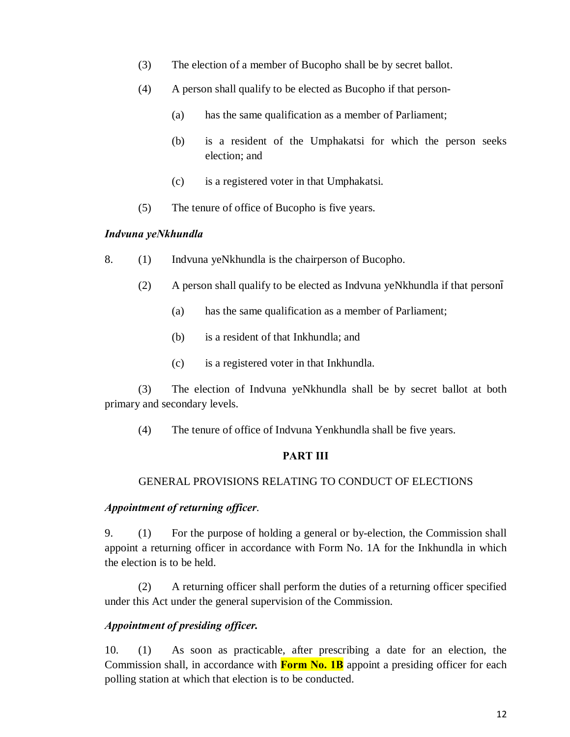- (3) The election of a member of Bucopho shall be by secret ballot.
- (4) A person shall qualify to be elected as Bucopho if that person-
	- (a) has the same qualification as a member of Parliament;
	- (b) is a resident of the Umphakatsi for which the person seeks election; and
	- (c) is a registered voter in that Umphakatsi.
- (5) The tenure of office of Bucopho is five years.

#### *Indvuna yeNkhundla*

- 8. (1) Indvuna yeNkhundla is the chairperson of Bucopho.
	- (2) A person shall qualify to be elected as Indvuna yeNkhundla if that person
		- (a) has the same qualification as a member of Parliament;
		- (b) is a resident of that Inkhundla; and
		- (c) is a registered voter in that Inkhundla.

(3) The election of Indvuna yeNkhundla shall be by secret ballot at both primary and secondary levels.

(4) The tenure of office of Indvuna Yenkhundla shall be five years.

### **PART III**

#### GENERAL PROVISIONS RELATING TO CONDUCT OF ELECTIONS

#### *Appointment of returning officer*.

9. (1) For the purpose of holding a general or by-election, the Commission shall appoint a returning officer in accordance with Form No. 1A for the Inkhundla in which the election is to be held.

(2) A returning officer shall perform the duties of a returning officer specified under this Act under the general supervision of the Commission.

### *Appointment of presiding officer.*

10. (1) As soon as practicable, after prescribing a date for an election, the Commission shall, in accordance with **Form No. 1B** appoint a presiding officer for each polling station at which that election is to be conducted.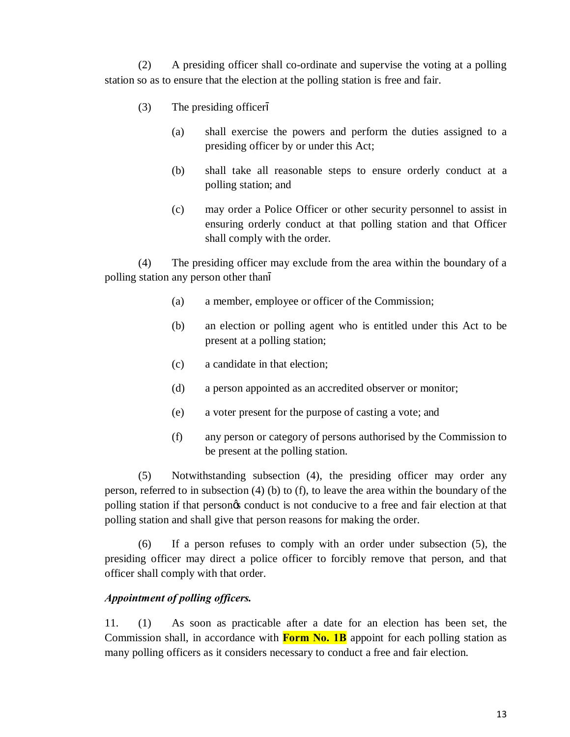(2) A presiding officer shall co-ordinate and supervise the voting at a polling station so as to ensure that the election at the polling station is free and fair.

- (3) The presiding officer
	- (a) shall exercise the powers and perform the duties assigned to a presiding officer by or under this Act;
	- (b) shall take all reasonable steps to ensure orderly conduct at a polling station; and
	- (c) may order a Police Officer or other security personnel to assist in ensuring orderly conduct at that polling station and that Officer shall comply with the order.

(4) The presiding officer may exclude from the area within the boundary of a polling station any person other than

- (a) a member, employee or officer of the Commission;
- (b) an election or polling agent who is entitled under this Act to be present at a polling station;
- (c) a candidate in that election;
- (d) a person appointed as an accredited observer or monitor;
- (e) a voter present for the purpose of casting a vote; and
- (f) any person or category of persons authorised by the Commission to be present at the polling station.

(5) Notwithstanding subsection (4), the presiding officer may order any person, referred to in subsection (4) (b) to (f), to leave the area within the boundary of the polling station if that person's conduct is not conducive to a free and fair election at that polling station and shall give that person reasons for making the order.

(6) If a person refuses to comply with an order under subsection (5), the presiding officer may direct a police officer to forcibly remove that person, and that officer shall comply with that order.

### *Appointment of polling officers.*

11. (1) As soon as practicable after a date for an election has been set, the Commission shall, in accordance with **Form No. 1B** appoint for each polling station as many polling officers as it considers necessary to conduct a free and fair election.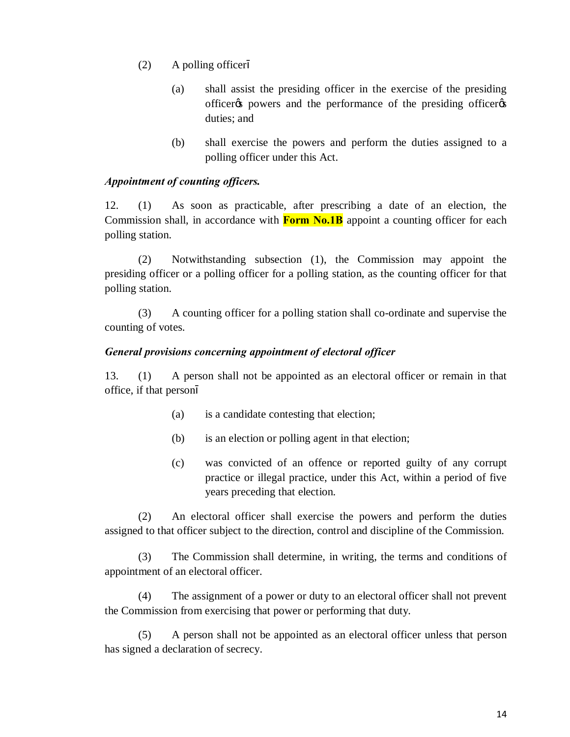- (2) A polling officer
	- (a) shall assist the presiding officer in the exercise of the presiding officer the powers and the performance of the presiding officer duties; and
	- (b) shall exercise the powers and perform the duties assigned to a polling officer under this Act.

#### *Appointment of counting officers.*

12. (1) As soon as practicable, after prescribing a date of an election, the Commission shall, in accordance with **Form No.1B** appoint a counting officer for each polling station.

(2) Notwithstanding subsection (1), the Commission may appoint the presiding officer or a polling officer for a polling station, as the counting officer for that polling station.

(3) A counting officer for a polling station shall co-ordinate and supervise the counting of votes.

#### *General provisions concerning appointment of electoral officer*

13. (1) A person shall not be appointed as an electoral officer or remain in that office, if that person

- (a) is a candidate contesting that election;
- (b) is an election or polling agent in that election;
- (c) was convicted of an offence or reported guilty of any corrupt practice or illegal practice, under this Act, within a period of five years preceding that election.

(2) An electoral officer shall exercise the powers and perform the duties assigned to that officer subject to the direction, control and discipline of the Commission.

(3) The Commission shall determine, in writing, the terms and conditions of appointment of an electoral officer.

(4) The assignment of a power or duty to an electoral officer shall not prevent the Commission from exercising that power or performing that duty.

(5) A person shall not be appointed as an electoral officer unless that person has signed a declaration of secrecy.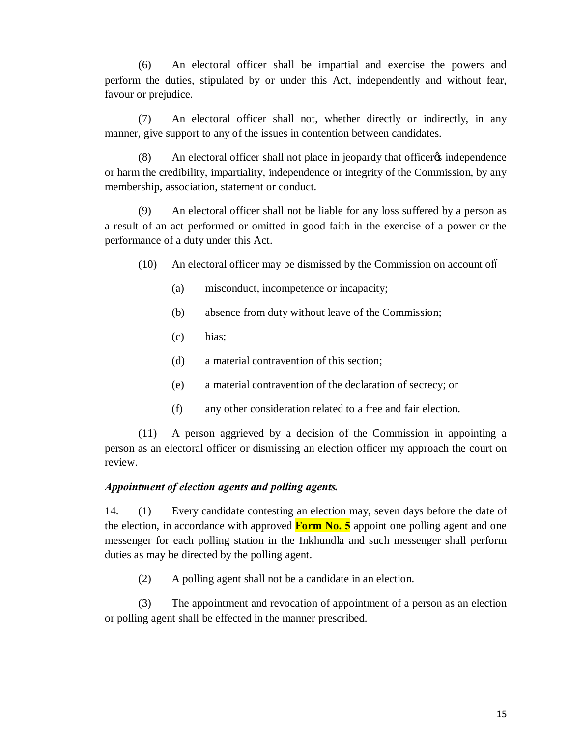(6) An electoral officer shall be impartial and exercise the powers and perform the duties, stipulated by or under this Act, independently and without fear, favour or prejudice.

(7) An electoral officer shall not, whether directly or indirectly, in any manner, give support to any of the issues in contention between candidates.

(8) An electoral officer shall not place in jeopardy that officer independence or harm the credibility, impartiality, independence or integrity of the Commission, by any membership, association, statement or conduct.

(9) An electoral officer shall not be liable for any loss suffered by a person as a result of an act performed or omitted in good faith in the exercise of a power or the performance of a duty under this Act.

- (10) An electoral officer may be dismissed by the Commission on account of–
	- (a) misconduct, incompetence or incapacity;
	- (b) absence from duty without leave of the Commission;
	- (c) bias;
	- (d) a material contravention of this section;
	- (e) a material contravention of the declaration of secrecy; or
	- (f) any other consideration related to a free and fair election.

(11) A person aggrieved by a decision of the Commission in appointing a person as an electoral officer or dismissing an election officer my approach the court on review.

#### *Appointment of election agents and polling agents.*

14. (1) Every candidate contesting an election may, seven days before the date of the election, in accordance with approved **Form No. 5** appoint one polling agent and one messenger for each polling station in the Inkhundla and such messenger shall perform duties as may be directed by the polling agent.

(2) A polling agent shall not be a candidate in an election.

(3) The appointment and revocation of appointment of a person as an election or polling agent shall be effected in the manner prescribed.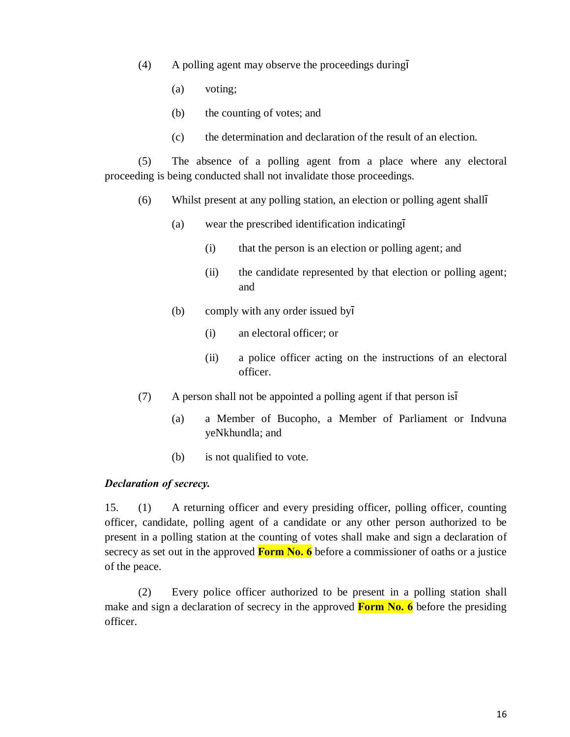- (4) A polling agent may observe the proceedings during
	- (a) voting;
	- (b) the counting of votes; and
	- (c) the determination and declaration of the result of an election.

(5) The absence of a polling agent from a place where any electoral proceeding is being conducted shall not invalidate those proceedings.

- (6) Whilst present at any polling station, an election or polling agent shall
	- (a) wear the prescribed identification indicating
		- (i) that the person is an election or polling agent; and
		- (ii) the candidate represented by that election or polling agent; and
	- (b) comply with any order issued by
		- (i) an electoral officer; or
		- (ii) a police officer acting on the instructions of an electoral officer.
- (7) A person shall not be appointed a polling agent if that person is
	- (a) a Member of Bucopho, a Member of Parliament or Indvuna yeNkhundla; and
	- (b) is not qualified to vote.

#### *Declaration of secrecy.*

15. (1) A returning officer and every presiding officer, polling officer, counting officer, candidate, polling agent of a candidate or any other person authorized to be present in a polling station at the counting of votes shall make and sign a declaration of secrecy as set out in the approved **Form No. 6** before a commissioner of oaths or a justice of the peace.

(2) Every police officer authorized to be present in a polling station shall make and sign a declaration of secrecy in the approved **Form No. 6** before the presiding officer.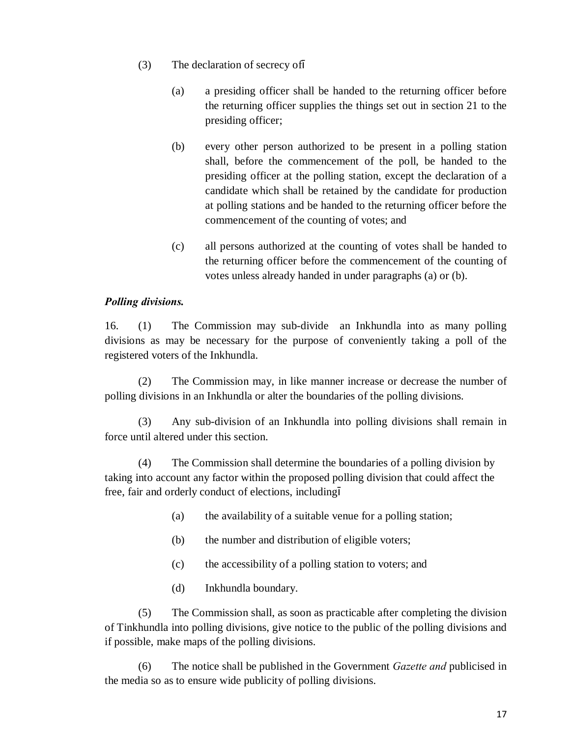- (3) The declaration of secrecy of
	- (a) a presiding officer shall be handed to the returning officer before the returning officer supplies the things set out in section 21 to the presiding officer;
	- (b) every other person authorized to be present in a polling station shall, before the commencement of the poll, be handed to the presiding officer at the polling station, except the declaration of a candidate which shall be retained by the candidate for production at polling stations and be handed to the returning officer before the commencement of the counting of votes; and
	- (c) all persons authorized at the counting of votes shall be handed to the returning officer before the commencement of the counting of votes unless already handed in under paragraphs (a) or (b).

# *Polling divisions.*

16. (1) The Commission may sub-divide an Inkhundla into as many polling divisions as may be necessary for the purpose of conveniently taking a poll of the registered voters of the Inkhundla.

(2) The Commission may, in like manner increase or decrease the number of polling divisions in an Inkhundla or alter the boundaries of the polling divisions.

(3) Any sub-division of an Inkhundla into polling divisions shall remain in force until altered under this section.

(4) The Commission shall determine the boundaries of a polling division by taking into account any factor within the proposed polling division that could affect the free, fair and orderly conduct of elections, including

- (a) the availability of a suitable venue for a polling station;
- (b) the number and distribution of eligible voters;
- (c) the accessibility of a polling station to voters; and
- (d) Inkhundla boundary.

(5) The Commission shall, as soon as practicable after completing the division of Tinkhundla into polling divisions, give notice to the public of the polling divisions and if possible, make maps of the polling divisions.

(6) The notice shall be published in the Government *Gazette and* publicised in the media so as to ensure wide publicity of polling divisions.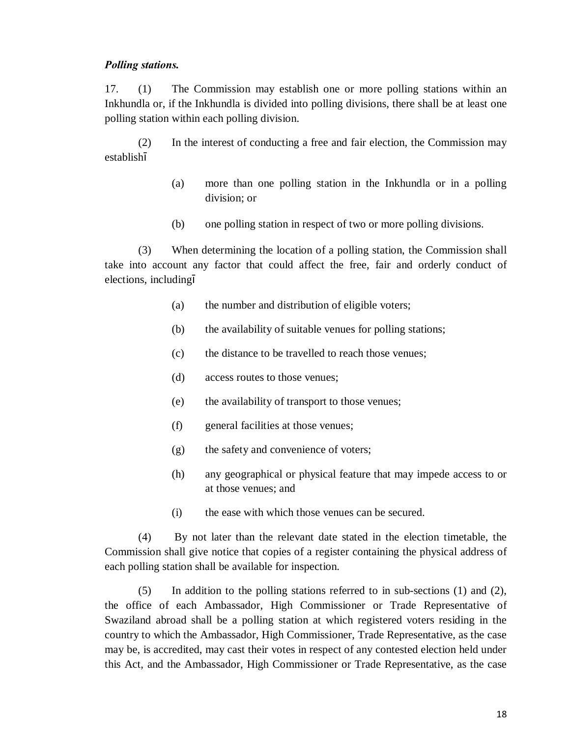#### *Polling stations.*

17. (1) The Commission may establish one or more polling stations within an Inkhundla or, if the Inkhundla is divided into polling divisions, there shall be at least one polling station within each polling division.

(2) In the interest of conducting a free and fair election, the Commission may establish

- (a) more than one polling station in the Inkhundla or in a polling division; or
- (b) one polling station in respect of two or more polling divisions.

(3) When determining the location of a polling station, the Commission shall take into account any factor that could affect the free, fair and orderly conduct of elections, including

- (a) the number and distribution of eligible voters;
- (b) the availability of suitable venues for polling stations;
- (c) the distance to be travelled to reach those venues;
- (d) access routes to those venues;
- (e) the availability of transport to those venues;
- (f) general facilities at those venues;
- (g) the safety and convenience of voters;
- (h) any geographical or physical feature that may impede access to or at those venues; and
- (i) the ease with which those venues can be secured.

(4) By not later than the relevant date stated in the election timetable, the Commission shall give notice that copies of a register containing the physical address of each polling station shall be available for inspection.

(5) In addition to the polling stations referred to in sub-sections (1) and (2), the office of each Ambassador, High Commissioner or Trade Representative of Swaziland abroad shall be a polling station at which registered voters residing in the country to which the Ambassador, High Commissioner, Trade Representative, as the case may be, is accredited, may cast their votes in respect of any contested election held under this Act, and the Ambassador, High Commissioner or Trade Representative, as the case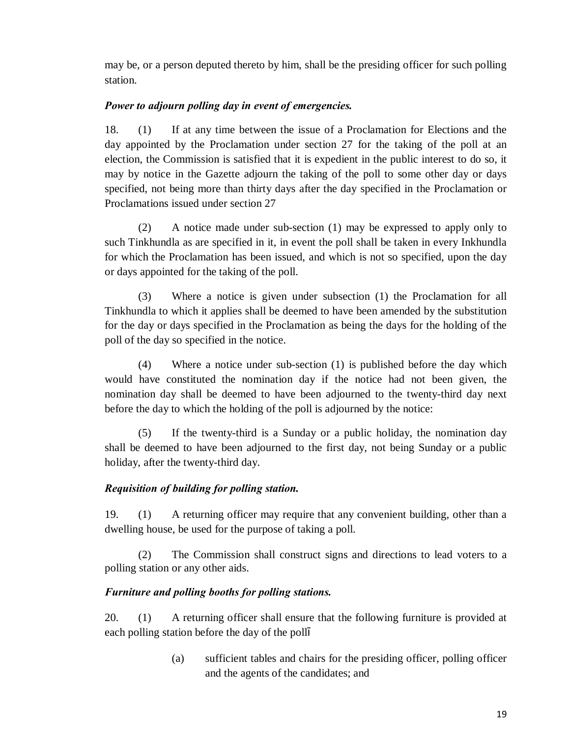may be, or a person deputed thereto by him, shall be the presiding officer for such polling station.

# *Power to adjourn polling day in event of emergencies.*

18. (1) If at any time between the issue of a Proclamation for Elections and the day appointed by the Proclamation under section 27 for the taking of the poll at an election, the Commission is satisfied that it is expedient in the public interest to do so, it may by notice in the Gazette adjourn the taking of the poll to some other day or days specified, not being more than thirty days after the day specified in the Proclamation or Proclamations issued under section 27

(2) A notice made under sub-section (1) may be expressed to apply only to such Tinkhundla as are specified in it, in event the poll shall be taken in every Inkhundla for which the Proclamation has been issued, and which is not so specified, upon the day or days appointed for the taking of the poll.

(3) Where a notice is given under subsection (1) the Proclamation for all Tinkhundla to which it applies shall be deemed to have been amended by the substitution for the day or days specified in the Proclamation as being the days for the holding of the poll of the day so specified in the notice.

(4) Where a notice under sub-section (1) is published before the day which would have constituted the nomination day if the notice had not been given, the nomination day shall be deemed to have been adjourned to the twenty-third day next before the day to which the holding of the poll is adjourned by the notice:

(5) If the twenty-third is a Sunday or a public holiday, the nomination day shall be deemed to have been adjourned to the first day, not being Sunday or a public holiday, after the twenty-third day.

# *Requisition of building for polling station.*

19. (1) A returning officer may require that any convenient building, other than a dwelling house, be used for the purpose of taking a poll.

(2) The Commission shall construct signs and directions to lead voters to a polling station or any other aids.

# *Furniture and polling booths for polling stations.*

20. (1) A returning officer shall ensure that the following furniture is provided at each polling station before the day of the poll

> (a) sufficient tables and chairs for the presiding officer, polling officer and the agents of the candidates; and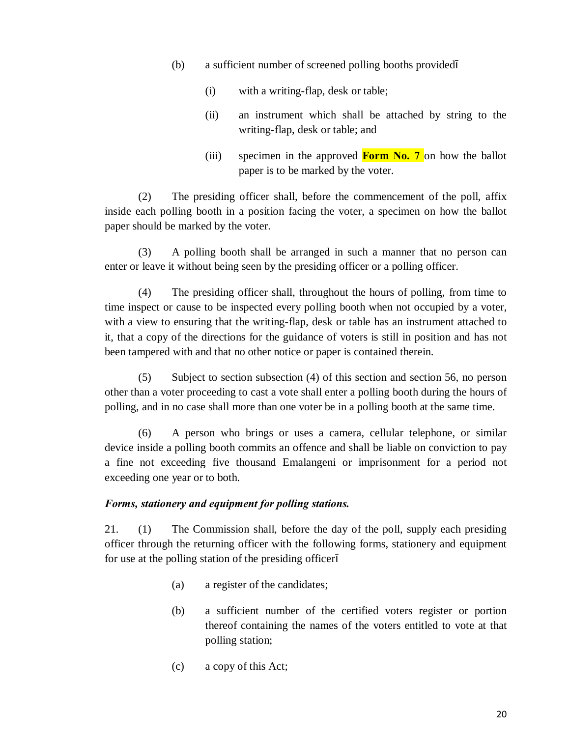- (b) a sufficient number of screened polling booths provided
	- (i) with a writing-flap, desk or table;
	- (ii) an instrument which shall be attached by string to the writing-flap, desk or table; and
	- (iii) specimen in the approved **Form No. 7** on how the ballot paper is to be marked by the voter.

(2) The presiding officer shall, before the commencement of the poll, affix inside each polling booth in a position facing the voter, a specimen on how the ballot paper should be marked by the voter.

(3) A polling booth shall be arranged in such a manner that no person can enter or leave it without being seen by the presiding officer or a polling officer.

(4) The presiding officer shall, throughout the hours of polling, from time to time inspect or cause to be inspected every polling booth when not occupied by a voter, with a view to ensuring that the writing-flap, desk or table has an instrument attached to it, that a copy of the directions for the guidance of voters is still in position and has not been tampered with and that no other notice or paper is contained therein.

(5) Subject to section subsection (4) of this section and section 56, no person other than a voter proceeding to cast a vote shall enter a polling booth during the hours of polling, and in no case shall more than one voter be in a polling booth at the same time.

(6) A person who brings or uses a camera, cellular telephone, or similar device inside a polling booth commits an offence and shall be liable on conviction to pay a fine not exceeding five thousand Emalangeni or imprisonment for a period not exceeding one year or to both.

### *Forms, stationery and equipment for polling stations.*

21. (1) The Commission shall, before the day of the poll, supply each presiding officer through the returning officer with the following forms, stationery and equipment for use at the polling station of the presiding officer

- (a) a register of the candidates;
- (b) a sufficient number of the certified voters register or portion thereof containing the names of the voters entitled to vote at that polling station;
- (c) a copy of this Act;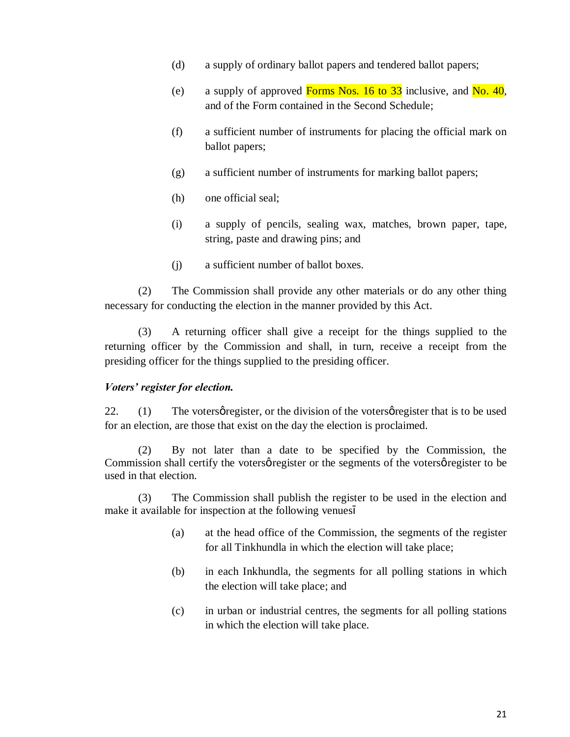- (d) a supply of ordinary ballot papers and tendered ballot papers;
- (e) a supply of approved Forms Nos. 16 to 33 inclusive, and No. 40, and of the Form contained in the Second Schedule;
- (f) a sufficient number of instruments for placing the official mark on ballot papers;
- (g) a sufficient number of instruments for marking ballot papers;
- (h) one official seal;
- (i) a supply of pencils, sealing wax, matches, brown paper, tape, string, paste and drawing pins; and
- (j) a sufficient number of ballot boxes.

(2) The Commission shall provide any other materials or do any other thing necessary for conducting the election in the manner provided by this Act.

(3) A returning officer shall give a receipt for the things supplied to the returning officer by the Commission and shall, in turn, receive a receipt from the presiding officer for the things supplied to the presiding officer.

### *Voters' register for election.*

22.  $(1)$  The voters gregister, or the division of the voters gregister that is to be used for an election, are those that exist on the day the election is proclaimed.

(2) By not later than a date to be specified by the Commission, the Commission shall certify the voters *p* register or the segments of the voters *p* register to be used in that election.

(3) The Commission shall publish the register to be used in the election and make it available for inspection at the following venues

- (a) at the head office of the Commission, the segments of the register for all Tinkhundla in which the election will take place;
- (b) in each Inkhundla, the segments for all polling stations in which the election will take place; and
- (c) in urban or industrial centres, the segments for all polling stations in which the election will take place.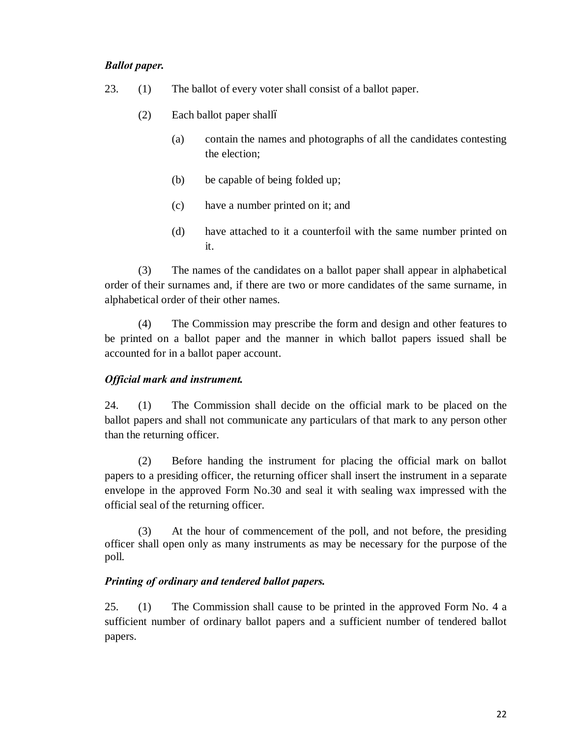### *Ballot paper.*

- 23. (1) The ballot of every voter shall consist of a ballot paper.
	- $(2)$  Each ballot paper shallo
		- (a) contain the names and photographs of all the candidates contesting the election;
		- (b) be capable of being folded up;
		- (c) have a number printed on it; and
		- (d) have attached to it a counterfoil with the same number printed on it.

(3) The names of the candidates on a ballot paper shall appear in alphabetical order of their surnames and, if there are two or more candidates of the same surname, in alphabetical order of their other names.

(4) The Commission may prescribe the form and design and other features to be printed on a ballot paper and the manner in which ballot papers issued shall be accounted for in a ballot paper account.

### *Official mark and instrument.*

24. (1) The Commission shall decide on the official mark to be placed on the ballot papers and shall not communicate any particulars of that mark to any person other than the returning officer.

(2) Before handing the instrument for placing the official mark on ballot papers to a presiding officer, the returning officer shall insert the instrument in a separate envelope in the approved Form No.30 and seal it with sealing wax impressed with the official seal of the returning officer.

 (3) At the hour of commencement of the poll, and not before, the presiding officer shall open only as many instruments as may be necessary for the purpose of the poll.

### *Printing of ordinary and tendered ballot papers.*

25. (1) The Commission shall cause to be printed in the approved Form No. 4 a sufficient number of ordinary ballot papers and a sufficient number of tendered ballot papers.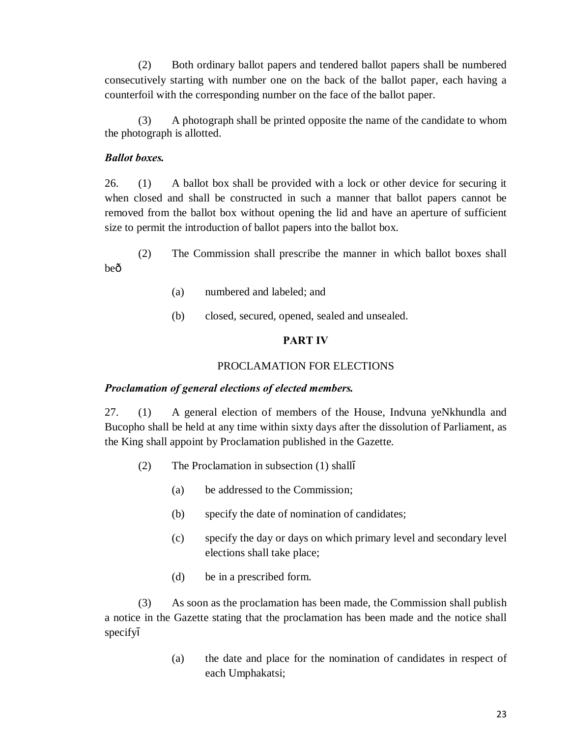(2) Both ordinary ballot papers and tendered ballot papers shall be numbered consecutively starting with number one on the back of the ballot paper, each having a counterfoil with the corresponding number on the face of the ballot paper.

(3) A photograph shall be printed opposite the name of the candidate to whom the photograph is allotted.

#### *Ballot boxes.*

26. (1) A ballot box shall be provided with a lock or other device for securing it when closed and shall be constructed in such a manner that ballot papers cannot be removed from the ballot box without opening the lid and have an aperture of sufficient size to permit the introduction of ballot papers into the ballot box.

(2) The Commission shall prescribe the manner in which ballot boxes shall beô

- (a) numbered and labeled; and
- (b) closed, secured, opened, sealed and unsealed.

### **PART IV**

#### PROCLAMATION FOR ELECTIONS

#### *Proclamation of general elections of elected members.*

27. (1) A general election of members of the House, Indvuna yeNkhundla and Bucopho shall be held at any time within sixty days after the dissolution of Parliament, as the King shall appoint by Proclamation published in the Gazette.

- (2) The Proclamation in subsection (1) shall
	- (a) be addressed to the Commission;
	- (b) specify the date of nomination of candidates;
	- (c) specify the day or days on which primary level and secondary level elections shall take place;
	- (d) be in a prescribed form.

(3) As soon as the proclamation has been made, the Commission shall publish a notice in the Gazette stating that the proclamation has been made and the notice shall specify

> (a) the date and place for the nomination of candidates in respect of each Umphakatsi;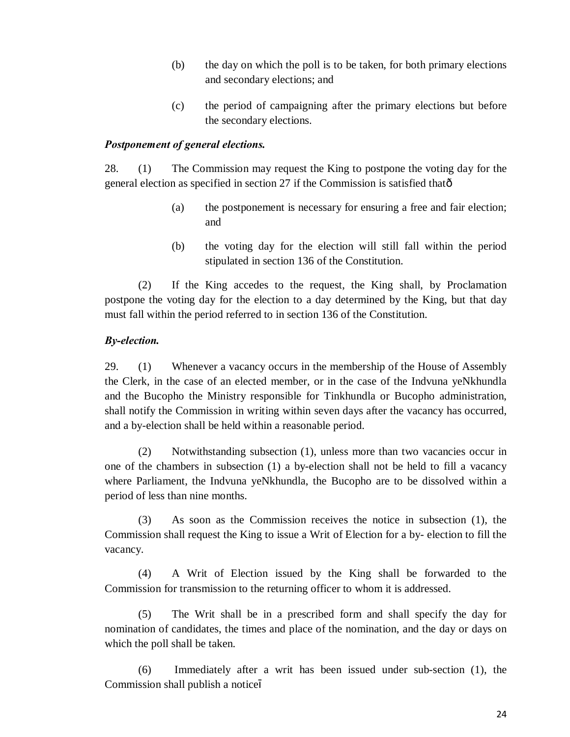- (b) the day on which the poll is to be taken, for both primary elections and secondary elections; and
- (c) the period of campaigning after the primary elections but before the secondary elections.

#### *Postponement of general elections.*

28. (1) The Commission may request the King to postpone the voting day for the general election as specified in section 27 if the Commission is satisfied that—

- (a) the postponement is necessary for ensuring a free and fair election; and
- (b) the voting day for the election will still fall within the period stipulated in section 136 of the Constitution.

(2) If the King accedes to the request, the King shall, by Proclamation postpone the voting day for the election to a day determined by the King, but that day must fall within the period referred to in section 136 of the Constitution.

### *By-election.*

29. (1) Whenever a vacancy occurs in the membership of the House of Assembly the Clerk, in the case of an elected member, or in the case of the Indvuna yeNkhundla and the Bucopho the Ministry responsible for Tinkhundla or Bucopho administration, shall notify the Commission in writing within seven days after the vacancy has occurred, and a by-election shall be held within a reasonable period.

(2) Notwithstanding subsection (1), unless more than two vacancies occur in one of the chambers in subsection (1) a by-election shall not be held to fill a vacancy where Parliament, the Indvuna yeNkhundla, the Bucopho are to be dissolved within a period of less than nine months.

(3) As soon as the Commission receives the notice in subsection (1), the Commission shall request the King to issue a Writ of Election for a by- election to fill the vacancy.

(4) A Writ of Election issued by the King shall be forwarded to the Commission for transmission to the returning officer to whom it is addressed.

(5) The Writ shall be in a prescribed form and shall specify the day for nomination of candidates, the times and place of the nomination, and the day or days on which the poll shall be taken.

(6) Immediately after a writ has been issued under sub-section (1), the Commission shall publish a notice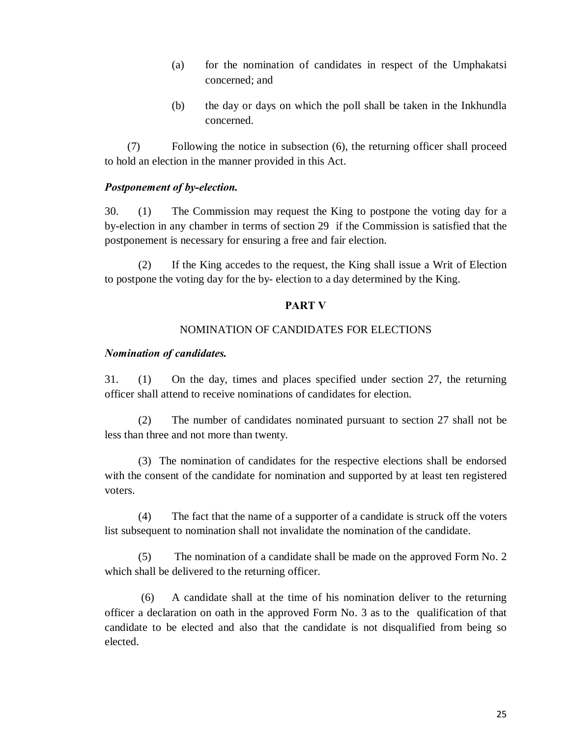- (a) for the nomination of candidates in respect of the Umphakatsi concerned; and
- (b) the day or days on which the poll shall be taken in the Inkhundla concerned.

 (7) Following the notice in subsection (6), the returning officer shall proceed to hold an election in the manner provided in this Act.

#### *Postponement of by-election.*

30. (1) The Commission may request the King to postpone the voting day for a by-election in any chamber in terms of section 29 if the Commission is satisfied that the postponement is necessary for ensuring a free and fair election.

(2) If the King accedes to the request, the King shall issue a Writ of Election to postpone the voting day for the by- election to a day determined by the King.

#### **PART V**

### NOMINATION OF CANDIDATES FOR ELECTIONS

#### *Nomination of candidates.*

31. (1) On the day, times and places specified under section 27, the returning officer shall attend to receive nominations of candidates for election.

(2) The number of candidates nominated pursuant to section 27 shall not be less than three and not more than twenty.

(3) The nomination of candidates for the respective elections shall be endorsed with the consent of the candidate for nomination and supported by at least ten registered voters.

(4) The fact that the name of a supporter of a candidate is struck off the voters list subsequent to nomination shall not invalidate the nomination of the candidate.

(5) The nomination of a candidate shall be made on the approved Form No. 2 which shall be delivered to the returning officer.

(6) A candidate shall at the time of his nomination deliver to the returning officer a declaration on oath in the approved Form No. 3 as to the qualification of that candidate to be elected and also that the candidate is not disqualified from being so elected.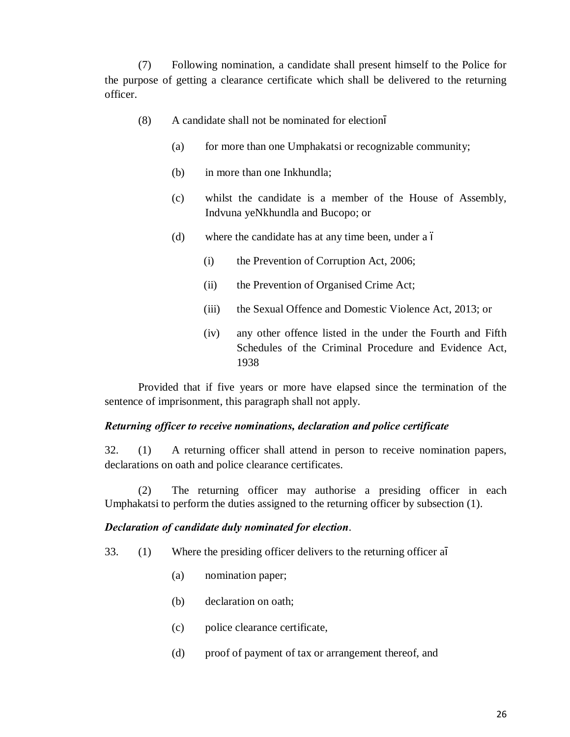(7) Following nomination, a candidate shall present himself to the Police for the purpose of getting a clearance certificate which shall be delivered to the returning officer.

- (8) A candidate shall not be nominated for election
	- (a) for more than one Umphakatsi or recognizable community;
	- (b) in more than one Inkhundla;
	- (c) whilst the candidate is a member of the House of Assembly, Indvuna yeNkhundla and Bucopo; or
	- (d) where the candidate has at any time been, under a  $\acute{o}$ 
		- (i) the Prevention of Corruption Act, 2006;
		- (ii) the Prevention of Organised Crime Act;
		- (iii) the Sexual Offence and Domestic Violence Act, 2013; or
		- (iv) any other offence listed in the under the Fourth and Fifth Schedules of the Criminal Procedure and Evidence Act, 1938

Provided that if five years or more have elapsed since the termination of the sentence of imprisonment, this paragraph shall not apply.

#### *Returning officer to receive nominations, declaration and police certificate*

32. (1) A returning officer shall attend in person to receive nomination papers, declarations on oath and police clearance certificates.

(2) The returning officer may authorise a presiding officer in each Umphakatsi to perform the duties assigned to the returning officer by subsection (1).

#### *Declaration of candidate duly nominated for election*.

33. (1) Where the presiding officer delivers to the returning officer a

- (a) nomination paper;
- (b) declaration on oath;
- (c) police clearance certificate,
- (d) proof of payment of tax or arrangement thereof, and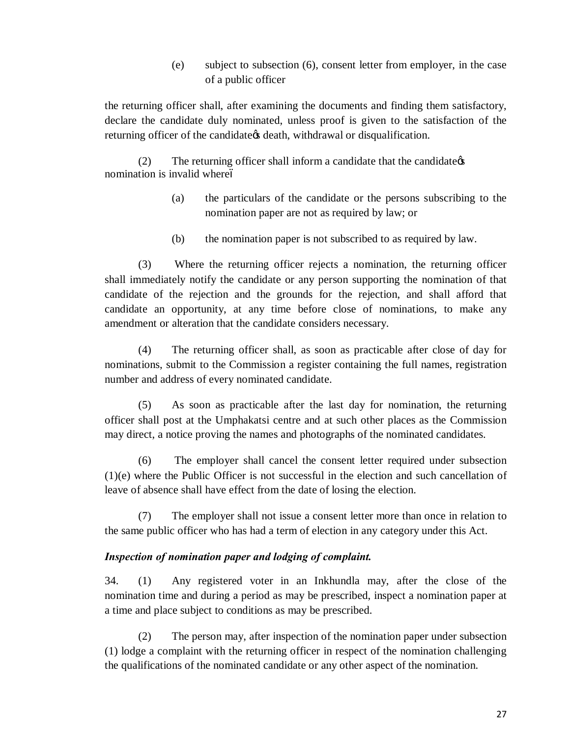(e) subject to subsection (6), consent letter from employer, in the case of a public officer

the returning officer shall, after examining the documents and finding them satisfactory, declare the candidate duly nominated, unless proof is given to the satisfaction of the returning officer of the candidate the death, withdrawal or disqualification.

 $(2)$  The returning officer shall inform a candidate that the candidate  $\phi$ nomination is invalid whereó

- (a) the particulars of the candidate or the persons subscribing to the nomination paper are not as required by law; or
- (b) the nomination paper is not subscribed to as required by law.

(3) Where the returning officer rejects a nomination, the returning officer shall immediately notify the candidate or any person supporting the nomination of that candidate of the rejection and the grounds for the rejection, and shall afford that candidate an opportunity, at any time before close of nominations, to make any amendment or alteration that the candidate considers necessary.

(4) The returning officer shall, as soon as practicable after close of day for nominations, submit to the Commission a register containing the full names, registration number and address of every nominated candidate.

(5) As soon as practicable after the last day for nomination, the returning officer shall post at the Umphakatsi centre and at such other places as the Commission may direct, a notice proving the names and photographs of the nominated candidates.

(6) The employer shall cancel the consent letter required under subsection (1)(e) where the Public Officer is not successful in the election and such cancellation of leave of absence shall have effect from the date of losing the election.

(7) The employer shall not issue a consent letter more than once in relation to the same public officer who has had a term of election in any category under this Act.

### *Inspection of nomination paper and lodging of complaint.*

34. (1) Any registered voter in an Inkhundla may, after the close of the nomination time and during a period as may be prescribed, inspect a nomination paper at a time and place subject to conditions as may be prescribed.

(2) The person may, after inspection of the nomination paper under subsection (1) lodge a complaint with the returning officer in respect of the nomination challenging the qualifications of the nominated candidate or any other aspect of the nomination.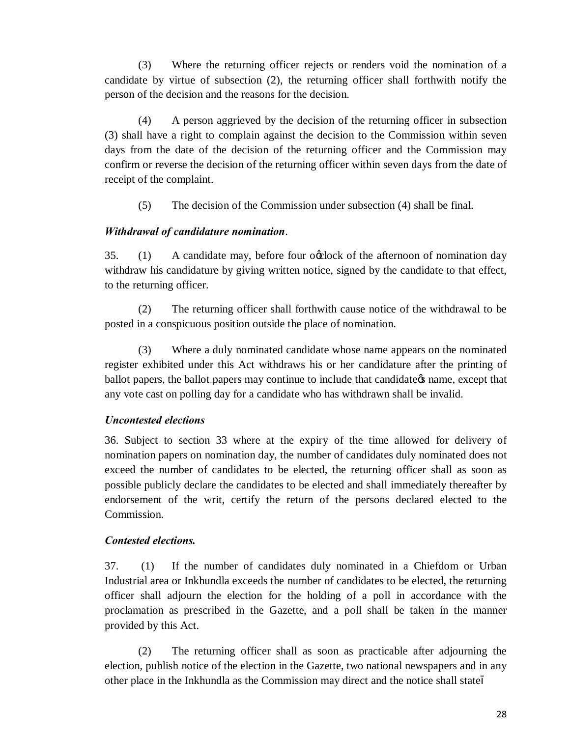(3) Where the returning officer rejects or renders void the nomination of a candidate by virtue of subsection (2), the returning officer shall forthwith notify the person of the decision and the reasons for the decision.

(4) A person aggrieved by the decision of the returning officer in subsection (3) shall have a right to complain against the decision to the Commission within seven days from the date of the decision of the returning officer and the Commission may confirm or reverse the decision of the returning officer within seven days from the date of receipt of the complaint.

(5) The decision of the Commission under subsection (4) shall be final.

# *Withdrawal of candidature nomination*.

35. (1) A candidate may, before four oxplock of the afternoon of nomination day withdraw his candidature by giving written notice, signed by the candidate to that effect, to the returning officer.

(2) The returning officer shall forthwith cause notice of the withdrawal to be posted in a conspicuous position outside the place of nomination.

(3) Where a duly nominated candidate whose name appears on the nominated register exhibited under this Act withdraws his or her candidature after the printing of ballot papers, the ballot papers may continue to include that candidate the same, except that any vote cast on polling day for a candidate who has withdrawn shall be invalid.

# *Uncontested elections*

36. Subject to section 33 where at the expiry of the time allowed for delivery of nomination papers on nomination day, the number of candidates duly nominated does not exceed the number of candidates to be elected, the returning officer shall as soon as possible publicly declare the candidates to be elected and shall immediately thereafter by endorsement of the writ, certify the return of the persons declared elected to the Commission.

# *Contested elections.*

37. (1) If the number of candidates duly nominated in a Chiefdom or Urban Industrial area or Inkhundla exceeds the number of candidates to be elected, the returning officer shall adjourn the election for the holding of a poll in accordance with the proclamation as prescribed in the Gazette, and a poll shall be taken in the manner provided by this Act.

(2) The returning officer shall as soon as practicable after adjourning the election, publish notice of the election in the Gazette, two national newspapers and in any other place in the Inkhundla as the Commission may direct and the notice shall state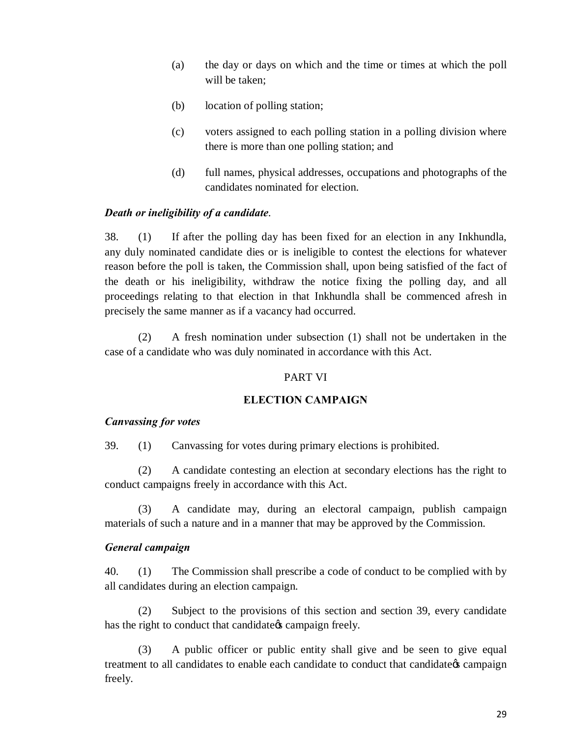- (a) the day or days on which and the time or times at which the poll will be taken;
- (b) location of polling station;
- (c) voters assigned to each polling station in a polling division where there is more than one polling station; and
- (d) full names, physical addresses, occupations and photographs of the candidates nominated for election.

#### *Death or ineligibility of a candidate*.

38. (1) If after the polling day has been fixed for an election in any Inkhundla, any duly nominated candidate dies or is ineligible to contest the elections for whatever reason before the poll is taken, the Commission shall, upon being satisfied of the fact of the death or his ineligibility, withdraw the notice fixing the polling day, and all proceedings relating to that election in that Inkhundla shall be commenced afresh in precisely the same manner as if a vacancy had occurred.

(2) A fresh nomination under subsection (1) shall not be undertaken in the case of a candidate who was duly nominated in accordance with this Act.

#### PART VI

#### **ELECTION CAMPAIGN**

#### *Canvassing for votes*

39. (1) Canvassing for votes during primary elections is prohibited.

(2) A candidate contesting an election at secondary elections has the right to conduct campaigns freely in accordance with this Act.

(3) A candidate may, during an electoral campaign, publish campaign materials of such a nature and in a manner that may be approved by the Commission.

#### *General campaign*

40. (1) The Commission shall prescribe a code of conduct to be complied with by all candidates during an election campaign.

(2) Subject to the provisions of this section and section 39, every candidate has the right to conduct that candidate  $\alpha$  campaign freely.

(3) A public officer or public entity shall give and be seen to give equal treatment to all candidates to enable each candidate to conduct that candidate  $\alpha$  campaign freely.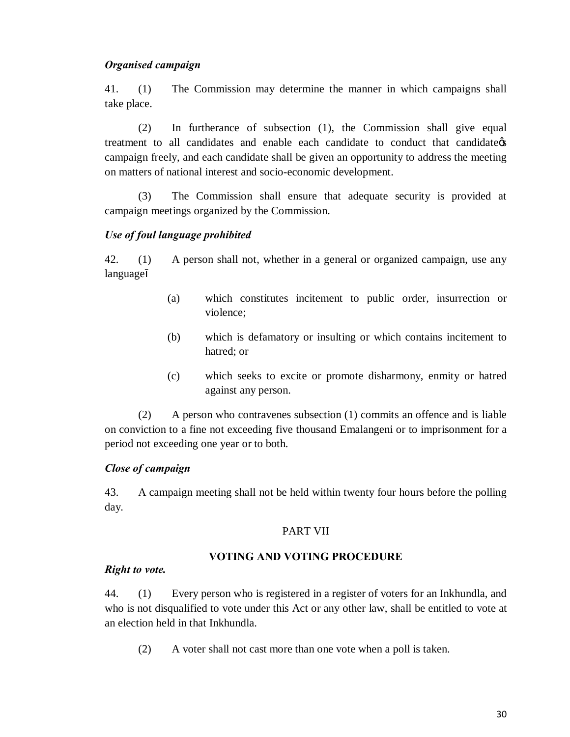#### *Organised campaign*

41. (1) The Commission may determine the manner in which campaigns shall take place.

(2) In furtherance of subsection (1), the Commission shall give equal treatment to all candidates and enable each candidate to conduct that candidate's campaign freely, and each candidate shall be given an opportunity to address the meeting on matters of national interest and socio-economic development.

(3) The Commission shall ensure that adequate security is provided at campaign meetings organized by the Commission.

#### *Use of foul language prohibited*

42. (1) A person shall not, whether in a general or organized campaign, use any language

- (a) which constitutes incitement to public order, insurrection or violence;
- (b) which is defamatory or insulting or which contains incitement to hatred; or
- (c) which seeks to excite or promote disharmony, enmity or hatred against any person.

(2) A person who contravenes subsection (1) commits an offence and is liable on conviction to a fine not exceeding five thousand Emalangeni or to imprisonment for a period not exceeding one year or to both.

### *Close of campaign*

43. A campaign meeting shall not be held within twenty four hours before the polling day.

### PART VII

### **VOTING AND VOTING PROCEDURE**

#### *Right to vote.*

44. (1) Every person who is registered in a register of voters for an Inkhundla, and who is not disqualified to vote under this Act or any other law, shall be entitled to vote at an election held in that Inkhundla.

(2) A voter shall not cast more than one vote when a poll is taken.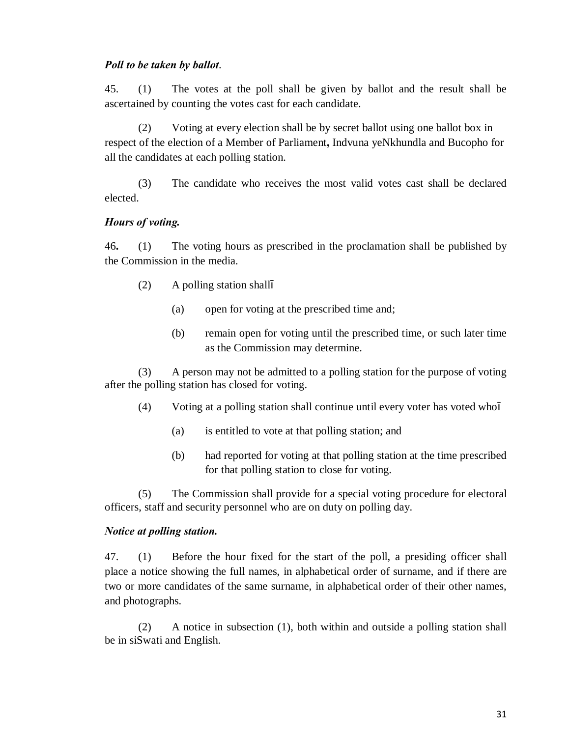#### *Poll to be taken by ballot*.

45. (1) The votes at the poll shall be given by ballot and the result shall be ascertained by counting the votes cast for each candidate.

(2) Voting at every election shall be by secret ballot using one ballot box in respect of the election of a Member of Parliament**,** Indvuna yeNkhundla and Bucopho for all the candidates at each polling station.

(3) The candidate who receives the most valid votes cast shall be declared elected.

### *Hours of voting.*

46**.** (1) The voting hours as prescribed in the proclamation shall be published by the Commission in the media.

- (2) A polling station shall
	- (a) open for voting at the prescribed time and;
	- (b) remain open for voting until the prescribed time, or such later time as the Commission may determine.

(3) A person may not be admitted to a polling station for the purpose of voting after the polling station has closed for voting.

- (4) Voting at a polling station shall continue until every voter has voted who
	- (a) is entitled to vote at that polling station; and
	- (b) had reported for voting at that polling station at the time prescribed for that polling station to close for voting.

(5) The Commission shall provide for a special voting procedure for electoral officers, staff and security personnel who are on duty on polling day.

# *Notice at polling station.*

47. (1) Before the hour fixed for the start of the poll, a presiding officer shall place a notice showing the full names, in alphabetical order of surname, and if there are two or more candidates of the same surname, in alphabetical order of their other names, and photographs.

(2) A notice in subsection (1), both within and outside a polling station shall be in siSwati and English.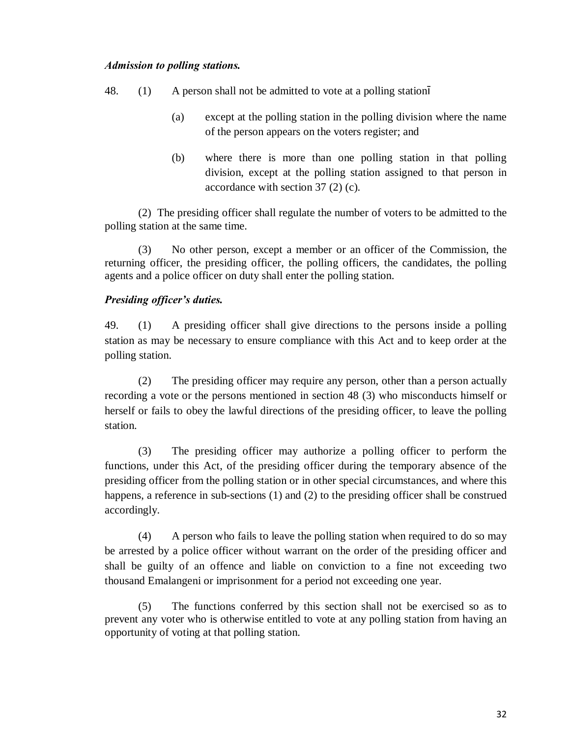#### *Admission to polling stations.*

- 48. (1) A person shall not be admitted to vote at a polling station
	- (a) except at the polling station in the polling division where the name of the person appears on the voters register; and
	- (b) where there is more than one polling station in that polling division, except at the polling station assigned to that person in accordance with section 37 (2) (c).

(2) The presiding officer shall regulate the number of voters to be admitted to the polling station at the same time.

(3) No other person, except a member or an officer of the Commission, the returning officer, the presiding officer, the polling officers, the candidates, the polling agents and a police officer on duty shall enter the polling station.

# *Presiding officer's duties.*

49. (1) A presiding officer shall give directions to the persons inside a polling station as may be necessary to ensure compliance with this Act and to keep order at the polling station.

(2) The presiding officer may require any person, other than a person actually recording a vote or the persons mentioned in section 48 (3) who misconducts himself or herself or fails to obey the lawful directions of the presiding officer, to leave the polling station.

(3) The presiding officer may authorize a polling officer to perform the functions, under this Act, of the presiding officer during the temporary absence of the presiding officer from the polling station or in other special circumstances, and where this happens, a reference in sub-sections (1) and (2) to the presiding officer shall be construed accordingly.

(4) A person who fails to leave the polling station when required to do so may be arrested by a police officer without warrant on the order of the presiding officer and shall be guilty of an offence and liable on conviction to a fine not exceeding two thousand Emalangeni or imprisonment for a period not exceeding one year.

(5) The functions conferred by this section shall not be exercised so as to prevent any voter who is otherwise entitled to vote at any polling station from having an opportunity of voting at that polling station.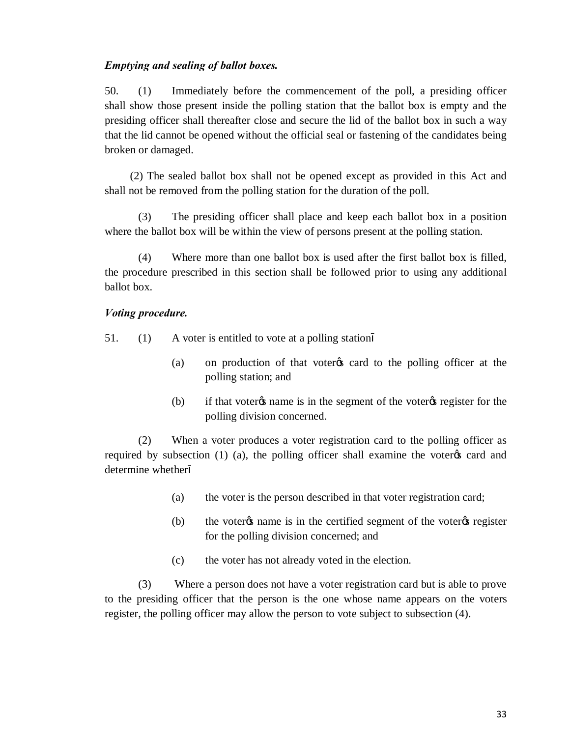#### *Emptying and sealing of ballot boxes.*

50. (1) Immediately before the commencement of the poll, a presiding officer shall show those present inside the polling station that the ballot box is empty and the presiding officer shall thereafter close and secure the lid of the ballot box in such a way that the lid cannot be opened without the official seal or fastening of the candidates being broken or damaged.

 (2) The sealed ballot box shall not be opened except as provided in this Act and shall not be removed from the polling station for the duration of the poll.

(3) The presiding officer shall place and keep each ballot box in a position where the ballot box will be within the view of persons present at the polling station.

(4) Where more than one ballot box is used after the first ballot box is filled, the procedure prescribed in this section shall be followed prior to using any additional ballot box.

#### *Voting procedure.*

51. (1) A voter is entitled to vote at a polling station

- (a) on production of that voter  $\alpha$  card to the polling officer at the polling station; and
- (b) if that voter<sub>%</sub> name is in the segment of the voter<sub>%</sub> register for the polling division concerned.

(2) When a voter produces a voter registration card to the polling officer as required by subsection  $(1)$   $(a)$ , the polling officer shall examine the voter  $\alpha$  card and determine whether

- (a) the voter is the person described in that voter registration card;
- $(b)$  the voter  $\alpha$  name is in the certified segment of the voter  $\alpha$  register for the polling division concerned; and
- (c) the voter has not already voted in the election.

(3) Where a person does not have a voter registration card but is able to prove to the presiding officer that the person is the one whose name appears on the voters register, the polling officer may allow the person to vote subject to subsection (4).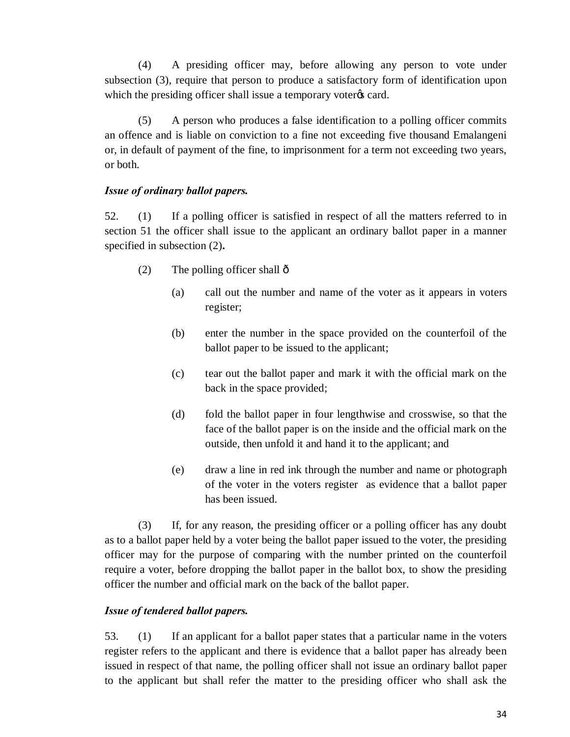(4) A presiding officer may, before allowing any person to vote under subsection (3), require that person to produce a satisfactory form of identification upon which the presiding officer shall issue a temporary voter $\alpha$  card.

(5) A person who produces a false identification to a polling officer commits an offence and is liable on conviction to a fine not exceeding five thousand Emalangeni or, in default of payment of the fine, to imprisonment for a term not exceeding two years, or both.

### *Issue of ordinary ballot papers.*

52. (1) If a polling officer is satisfied in respect of all the matters referred to in section 51 the officer shall issue to the applicant an ordinary ballot paper in a manner specified in subsection (2)**.**

- $(2)$  The polling officer shall  $\hat{\text{o}}$ 
	- (a) call out the number and name of the voter as it appears in voters register;
	- (b) enter the number in the space provided on the counterfoil of the ballot paper to be issued to the applicant;
	- (c) tear out the ballot paper and mark it with the official mark on the back in the space provided;
	- (d) fold the ballot paper in four lengthwise and crosswise, so that the face of the ballot paper is on the inside and the official mark on the outside, then unfold it and hand it to the applicant; and
	- (e) draw a line in red ink through the number and name or photograph of the voter in the voters register as evidence that a ballot paper has been issued.

(3) If, for any reason, the presiding officer or a polling officer has any doubt as to a ballot paper held by a voter being the ballot paper issued to the voter, the presiding officer may for the purpose of comparing with the number printed on the counterfoil require a voter, before dropping the ballot paper in the ballot box, to show the presiding officer the number and official mark on the back of the ballot paper.

# *Issue of tendered ballot papers.*

53. (1) If an applicant for a ballot paper states that a particular name in the voters register refers to the applicant and there is evidence that a ballot paper has already been issued in respect of that name, the polling officer shall not issue an ordinary ballot paper to the applicant but shall refer the matter to the presiding officer who shall ask the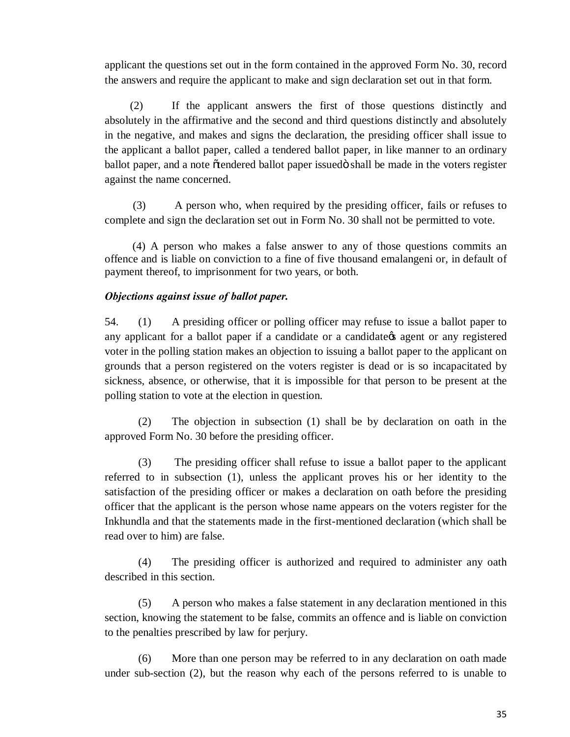applicant the questions set out in the form contained in the approved Form No. 30, record the answers and require the applicant to make and sign declaration set out in that form.

 (2) If the applicant answers the first of those questions distinctly and absolutely in the affirmative and the second and third questions distinctly and absolutely in the negative, and makes and signs the declaration, the presiding officer shall issue to the applicant a ballot paper, called a tendered ballot paper, in like manner to an ordinary ballot paper, and a note  $\tilde{o}$  tendered ballot paper issued $\tilde{o}$  shall be made in the voters register against the name concerned.

 (3) A person who, when required by the presiding officer, fails or refuses to complete and sign the declaration set out in Form No. 30 shall not be permitted to vote.

 (4) A person who makes a false answer to any of those questions commits an offence and is liable on conviction to a fine of five thousand emalangeni or, in default of payment thereof, to imprisonment for two years, or both.

### *Objections against issue of ballot paper.*

54. (1) A presiding officer or polling officer may refuse to issue a ballot paper to any applicant for a ballot paper if a candidate or a candidate is agent or any registered voter in the polling station makes an objection to issuing a ballot paper to the applicant on grounds that a person registered on the voters register is dead or is so incapacitated by sickness, absence, or otherwise, that it is impossible for that person to be present at the polling station to vote at the election in question.

(2) The objection in subsection (1) shall be by declaration on oath in the approved Form No. 30 before the presiding officer.

(3) The presiding officer shall refuse to issue a ballot paper to the applicant referred to in subsection (1), unless the applicant proves his or her identity to the satisfaction of the presiding officer or makes a declaration on oath before the presiding officer that the applicant is the person whose name appears on the voters register for the Inkhundla and that the statements made in the first-mentioned declaration (which shall be read over to him) are false.

(4) The presiding officer is authorized and required to administer any oath described in this section.

(5) A person who makes a false statement in any declaration mentioned in this section, knowing the statement to be false, commits an offence and is liable on conviction to the penalties prescribed by law for perjury.

(6) More than one person may be referred to in any declaration on oath made under sub-section (2), but the reason why each of the persons referred to is unable to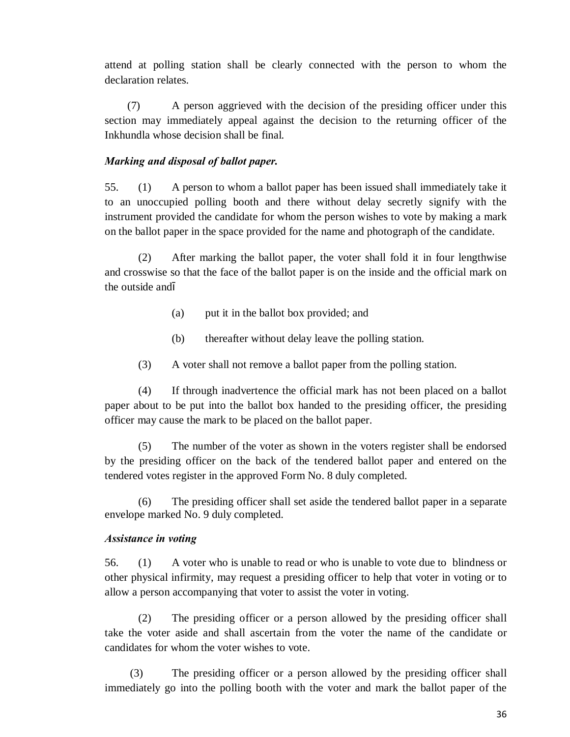attend at polling station shall be clearly connected with the person to whom the declaration relates.

 (7) A person aggrieved with the decision of the presiding officer under this section may immediately appeal against the decision to the returning officer of the Inkhundla whose decision shall be final.

### *Marking and disposal of ballot paper.*

55. (1) A person to whom a ballot paper has been issued shall immediately take it to an unoccupied polling booth and there without delay secretly signify with the instrument provided the candidate for whom the person wishes to vote by making a mark on the ballot paper in the space provided for the name and photograph of the candidate.

(2) After marking the ballot paper, the voter shall fold it in four lengthwise and crosswise so that the face of the ballot paper is on the inside and the official mark on the outside and

- (a) put it in the ballot box provided; and
- (b) thereafter without delay leave the polling station.
- (3) A voter shall not remove a ballot paper from the polling station.

(4) If through inadvertence the official mark has not been placed on a ballot paper about to be put into the ballot box handed to the presiding officer, the presiding officer may cause the mark to be placed on the ballot paper.

(5) The number of the voter as shown in the voters register shall be endorsed by the presiding officer on the back of the tendered ballot paper and entered on the tendered votes register in the approved Form No. 8 duly completed.

(6) The presiding officer shall set aside the tendered ballot paper in a separate envelope marked No. 9 duly completed.

### *Assistance in voting*

56. (1) A voter who is unable to read or who is unable to vote due to blindness or other physical infirmity, may request a presiding officer to help that voter in voting or to allow a person accompanying that voter to assist the voter in voting.

(2) The presiding officer or a person allowed by the presiding officer shall take the voter aside and shall ascertain from the voter the name of the candidate or candidates for whom the voter wishes to vote.

 (3) The presiding officer or a person allowed by the presiding officer shall immediately go into the polling booth with the voter and mark the ballot paper of the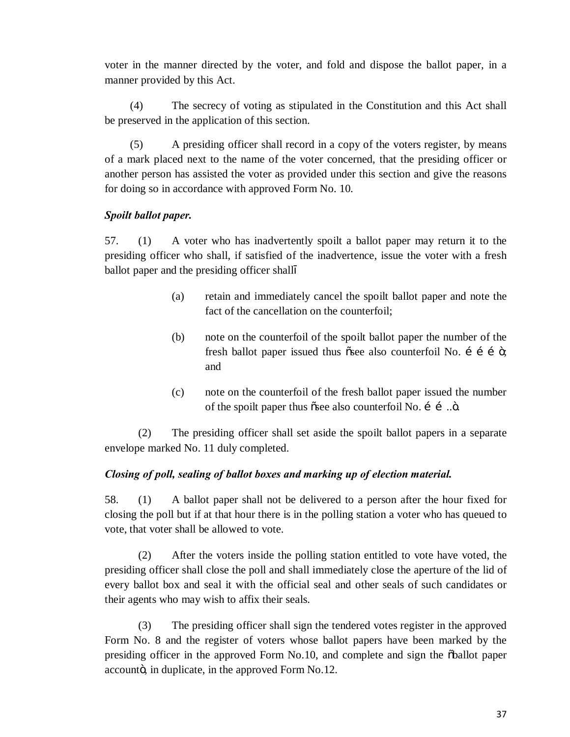voter in the manner directed by the voter, and fold and dispose the ballot paper, in a manner provided by this Act.

 (4) The secrecy of voting as stipulated in the Constitution and this Act shall be preserved in the application of this section.

 (5) A presiding officer shall record in a copy of the voters register, by means of a mark placed next to the name of the voter concerned, that the presiding officer or another person has assisted the voter as provided under this section and give the reasons for doing so in accordance with approved Form No. 10.

# *Spoilt ballot paper.*

57. (1) A voter who has inadvertently spoilt a ballot paper may return it to the presiding officer who shall, if satisfied of the inadvertence, issue the voter with a fresh ballot paper and the presiding officer shall

- (a) retain and immediately cancel the spoilt ballot paper and note the fact of the cancellation on the counterfoil;
- (b) note on the counterfoil of the spoilt ballot paper the number of the fresh ballot paper issued thus  $\tilde{\sigma}$  also counterfoil No. i i i  $\ddot{\sigma}$ ; and
- (c) note on the counterfoil of the fresh ballot paper issued the number of the spoilt paper thus  $\tilde{\text{c}}$  also counterfoil No.  $\tilde{\text{i}}$  ............

(2) The presiding officer shall set aside the spoilt ballot papers in a separate envelope marked No. 11 duly completed.

# *Closing of poll, sealing of ballot boxes and marking up of election material.*

58. (1) A ballot paper shall not be delivered to a person after the hour fixed for closing the poll but if at that hour there is in the polling station a voter who has queued to vote, that voter shall be allowed to vote.

(2) After the voters inside the polling station entitled to vote have voted, the presiding officer shall close the poll and shall immediately close the aperture of the lid of every ballot box and seal it with the official seal and other seals of such candidates or their agents who may wish to affix their seals.

 (3) The presiding officer shall sign the tendered votes register in the approved Form No. 8 and the register of voters whose ballot papers have been marked by the presiding officer in the approved Form No.10, and complete and sign the  $\ddot{\text{o}}$ ballot paper accounto, in duplicate, in the approved Form No.12.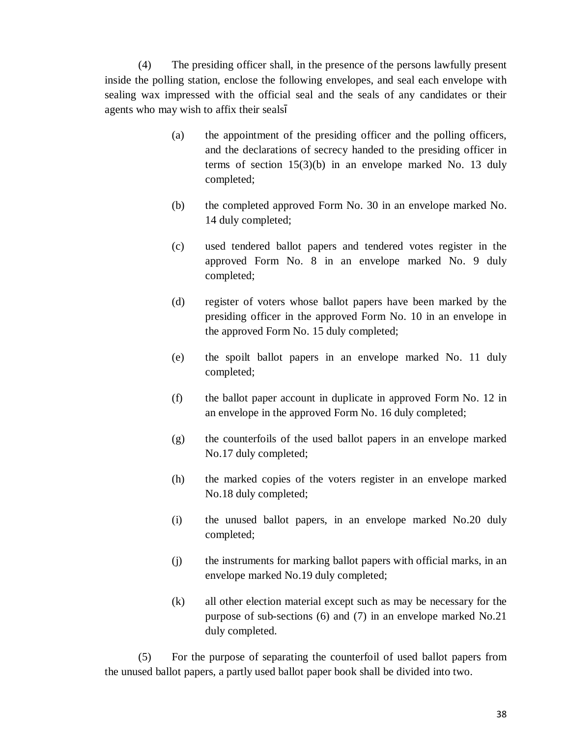(4) The presiding officer shall, in the presence of the persons lawfully present inside the polling station, enclose the following envelopes, and seal each envelope with sealing wax impressed with the official seal and the seals of any candidates or their agents who may wish to affix their seals

- (a) the appointment of the presiding officer and the polling officers, and the declarations of secrecy handed to the presiding officer in terms of section 15(3)(b) in an envelope marked No. 13 duly completed;
- (b) the completed approved Form No. 30 in an envelope marked No. 14 duly completed;
- (c) used tendered ballot papers and tendered votes register in the approved Form No. 8 in an envelope marked No. 9 duly completed;
- (d) register of voters whose ballot papers have been marked by the presiding officer in the approved Form No. 10 in an envelope in the approved Form No. 15 duly completed;
- (e) the spoilt ballot papers in an envelope marked No. 11 duly completed;
- (f) the ballot paper account in duplicate in approved Form No. 12 in an envelope in the approved Form No. 16 duly completed;
- (g) the counterfoils of the used ballot papers in an envelope marked No.17 duly completed;
- (h) the marked copies of the voters register in an envelope marked No.18 duly completed;
- (i) the unused ballot papers, in an envelope marked No.20 duly completed;
- (j) the instruments for marking ballot papers with official marks, in an envelope marked No.19 duly completed;
- (k) all other election material except such as may be necessary for the purpose of sub-sections (6) and (7) in an envelope marked No.21 duly completed.

(5) For the purpose of separating the counterfoil of used ballot papers from the unused ballot papers, a partly used ballot paper book shall be divided into two.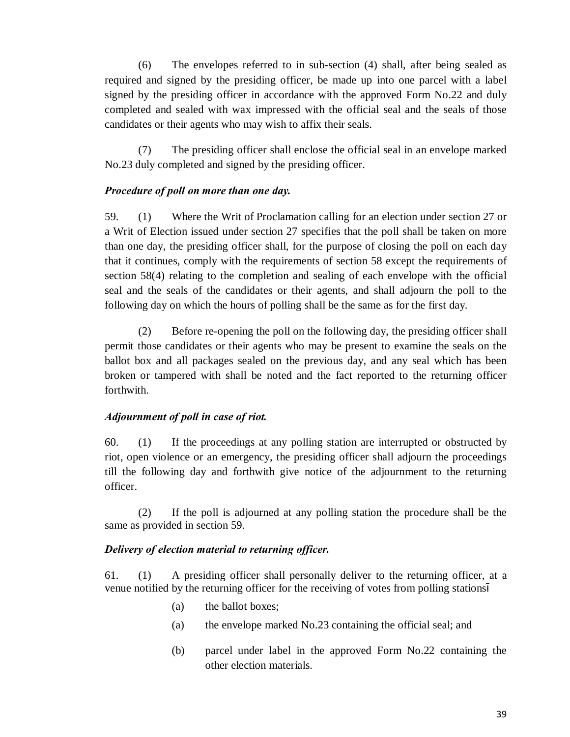(6) The envelopes referred to in sub-section (4) shall, after being sealed as required and signed by the presiding officer, be made up into one parcel with a label signed by the presiding officer in accordance with the approved Form No.22 and duly completed and sealed with wax impressed with the official seal and the seals of those candidates or their agents who may wish to affix their seals.

(7) The presiding officer shall enclose the official seal in an envelope marked No.23 duly completed and signed by the presiding officer.

### *Procedure of poll on more than one day.*

59. (1) Where the Writ of Proclamation calling for an election under section 27 or a Writ of Election issued under section 27 specifies that the poll shall be taken on more than one day, the presiding officer shall, for the purpose of closing the poll on each day that it continues, comply with the requirements of section 58 except the requirements of section 58(4) relating to the completion and sealing of each envelope with the official seal and the seals of the candidates or their agents, and shall adjourn the poll to the following day on which the hours of polling shall be the same as for the first day.

(2) Before re-opening the poll on the following day, the presiding officer shall permit those candidates or their agents who may be present to examine the seals on the ballot box and all packages sealed on the previous day, and any seal which has been broken or tampered with shall be noted and the fact reported to the returning officer forthwith.

# *Adjournment of poll in case of riot.*

60. (1) If the proceedings at any polling station are interrupted or obstructed by riot, open violence or an emergency, the presiding officer shall adjourn the proceedings till the following day and forthwith give notice of the adjournment to the returning officer.

(2) If the poll is adjourned at any polling station the procedure shall be the same as provided in section 59.

# *Delivery of election material to returning officer.*

61. (1) A presiding officer shall personally deliver to the returning officer, at a venue notified by the returning officer for the receiving of votes from polling stations

- (a) the ballot boxes;
- (a) the envelope marked No.23 containing the official seal; and
- (b) parcel under label in the approved Form No.22 containing the other election materials.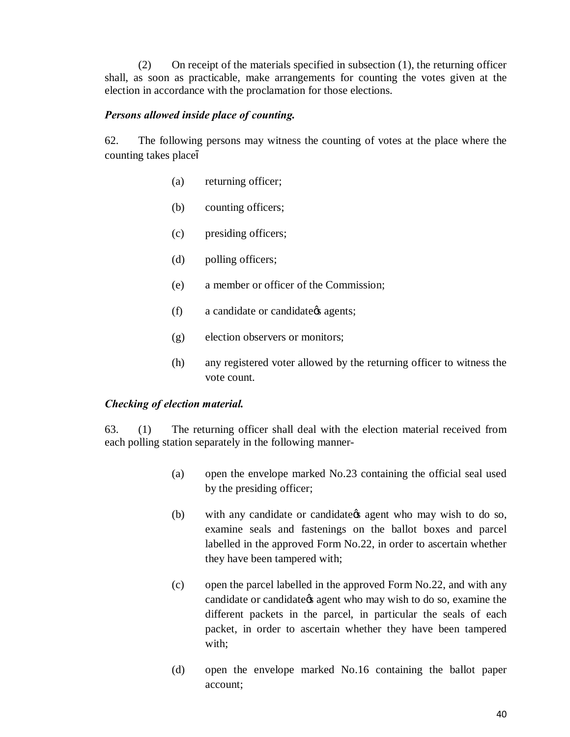(2) On receipt of the materials specified in subsection (1), the returning officer shall, as soon as practicable, make arrangements for counting the votes given at the election in accordance with the proclamation for those elections.

#### *Persons allowed inside place of counting.*

62. The following persons may witness the counting of votes at the place where the counting takes place

- (a) returning officer;
- (b) counting officers;
- (c) presiding officers;
- (d) polling officers;
- (e) a member or officer of the Commission;
- (f) a candidate or candidate *agents*;
- (g) election observers or monitors;
- (h) any registered voter allowed by the returning officer to witness the vote count.

### *Checking of election material.*

63. (1) The returning officer shall deal with the election material received from each polling station separately in the following manner-

- (a) open the envelope marked No.23 containing the official seal used by the presiding officer;
- (b) with any candidate or candidate *of* agent who may wish to do so, examine seals and fastenings on the ballot boxes and parcel labelled in the approved Form No.22, in order to ascertain whether they have been tampered with;
- (c) open the parcel labelled in the approved Form No.22, and with any candidate or candidate the agent who may wish to do so, examine the different packets in the parcel, in particular the seals of each packet, in order to ascertain whether they have been tampered with;
- (d) open the envelope marked No.16 containing the ballot paper account;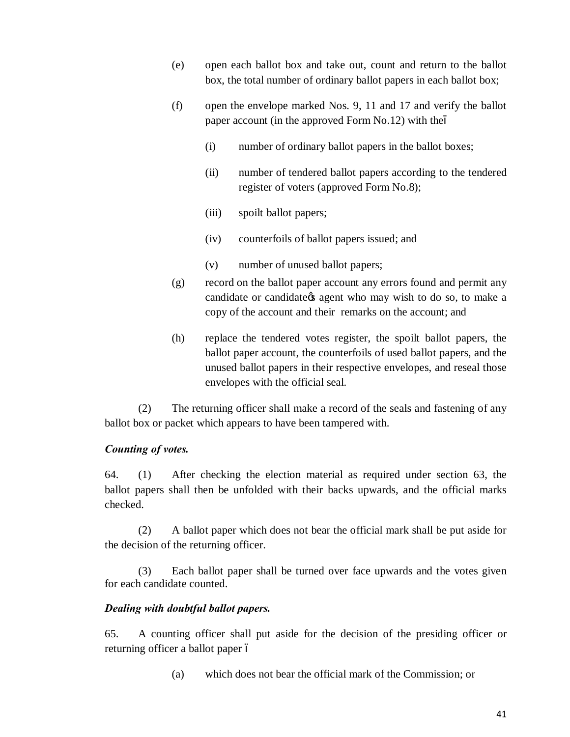- (e) open each ballot box and take out, count and return to the ballot box, the total number of ordinary ballot papers in each ballot box;
- (f) open the envelope marked Nos. 9, 11 and 17 and verify the ballot paper account (in the approved Form No.12) with the
	- (i) number of ordinary ballot papers in the ballot boxes;
	- (ii) number of tendered ballot papers according to the tendered register of voters (approved Form No.8);
	- (iii) spoilt ballot papers;
	- (iv) counterfoils of ballot papers issued; and
	- (v) number of unused ballot papers;
- (g) record on the ballot paper account any errors found and permit any candidate or candidate  $\alpha$  agent who may wish to do so, to make a copy of the account and their remarks on the account; and
- (h) replace the tendered votes register, the spoilt ballot papers, the ballot paper account, the counterfoils of used ballot papers, and the unused ballot papers in their respective envelopes, and reseal those envelopes with the official seal.

(2) The returning officer shall make a record of the seals and fastening of any ballot box or packet which appears to have been tampered with.

### *Counting of votes.*

64. (1) After checking the election material as required under section 63, the ballot papers shall then be unfolded with their backs upwards, and the official marks checked.

(2) A ballot paper which does not bear the official mark shall be put aside for the decision of the returning officer.

(3) Each ballot paper shall be turned over face upwards and the votes given for each candidate counted.

### *Dealing with doubtful ballot papers.*

65. A counting officer shall put aside for the decision of the presiding officer or returning officer a ballot paper ó

(a) which does not bear the official mark of the Commission; or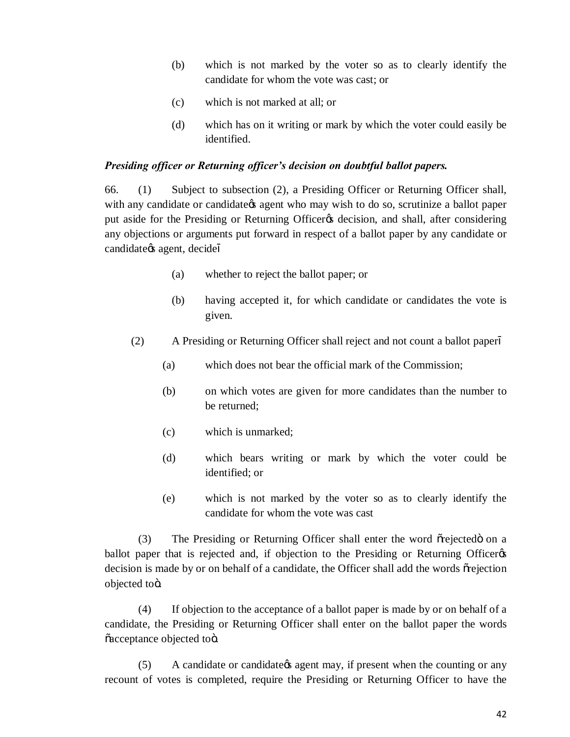- (b) which is not marked by the voter so as to clearly identify the candidate for whom the vote was cast; or
- (c) which is not marked at all; or
- (d) which has on it writing or mark by which the voter could easily be identified.

#### *Presiding officer or Returning officer's decision on doubtful ballot papers.*

66. (1) Subject to subsection (2), a Presiding Officer or Returning Officer shall, with any candidate or candidate *g* agent who may wish to do so, scrutinize a ballot paper put aside for the Presiding or Returning Officer<sub>ofs</sub> decision, and shall, after considering any objections or arguments put forward in respect of a ballot paper by any candidate or candidate $\alpha$ s agent, decide

- (a) whether to reject the ballot paper; or
- (b) having accepted it, for which candidate or candidates the vote is given.
- (2) A Presiding or Returning Officer shall reject and not count a ballot paper
	- (a) which does not bear the official mark of the Commission;
	- (b) on which votes are given for more candidates than the number to be returned;
	- (c) which is unmarked;
	- (d) which bears writing or mark by which the voter could be identified; or
	- (e) which is not marked by the voter so as to clearly identify the candidate for whom the vote was cast

(3) The Presiding or Returning Officer shall enter the word or ejected on a ballot paper that is rejected and, if objection to the Presiding or Returning Officer decision is made by or on behalf of a candidate, the Officer shall add the words  $\tilde{\sigma}$  rejection objected toö.

(4) If objection to the acceptance of a ballot paper is made by or on behalf of a candidate, the Presiding or Returning Officer shall enter on the ballot paper the words õacceptance objected toö.

(5) A candidate or candidate *of* agent may, if present when the counting or any recount of votes is completed, require the Presiding or Returning Officer to have the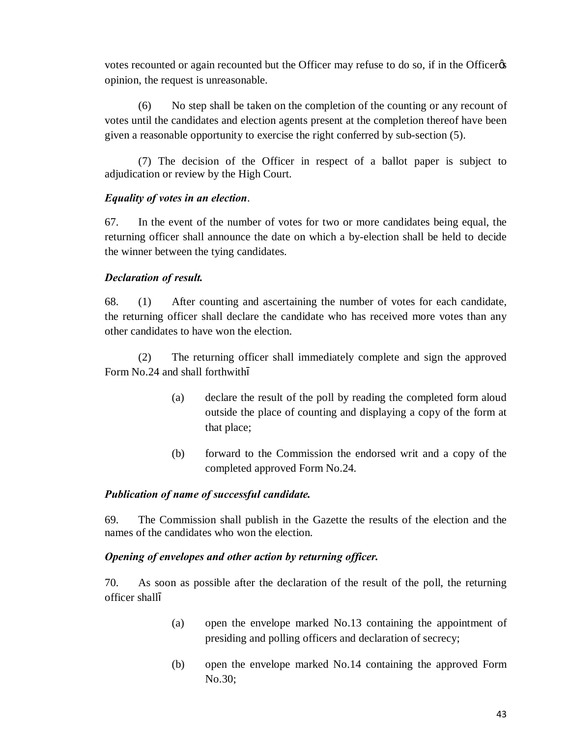votes recounted or again recounted but the Officer may refuse to do so, if in the Officer opinion, the request is unreasonable.

(6) No step shall be taken on the completion of the counting or any recount of votes until the candidates and election agents present at the completion thereof have been given a reasonable opportunity to exercise the right conferred by sub-section (5).

(7) The decision of the Officer in respect of a ballot paper is subject to adjudication or review by the High Court.

# *Equality of votes in an election*.

67. In the event of the number of votes for two or more candidates being equal, the returning officer shall announce the date on which a by-election shall be held to decide the winner between the tying candidates.

# *Declaration of result.*

68. (1) After counting and ascertaining the number of votes for each candidate, the returning officer shall declare the candidate who has received more votes than any other candidates to have won the election.

(2) The returning officer shall immediately complete and sign the approved Form No.24 and shall forthwith

- (a) declare the result of the poll by reading the completed form aloud outside the place of counting and displaying a copy of the form at that place;
- (b) forward to the Commission the endorsed writ and a copy of the completed approved Form No.24.

### *Publication of name of successful candidate.*

69. The Commission shall publish in the Gazette the results of the election and the names of the candidates who won the election.

### *Opening of envelopes and other action by returning officer.*

70. As soon as possible after the declaration of the result of the poll, the returning officer shall

- (a) open the envelope marked No.13 containing the appointment of presiding and polling officers and declaration of secrecy;
- (b) open the envelope marked No.14 containing the approved Form No.30;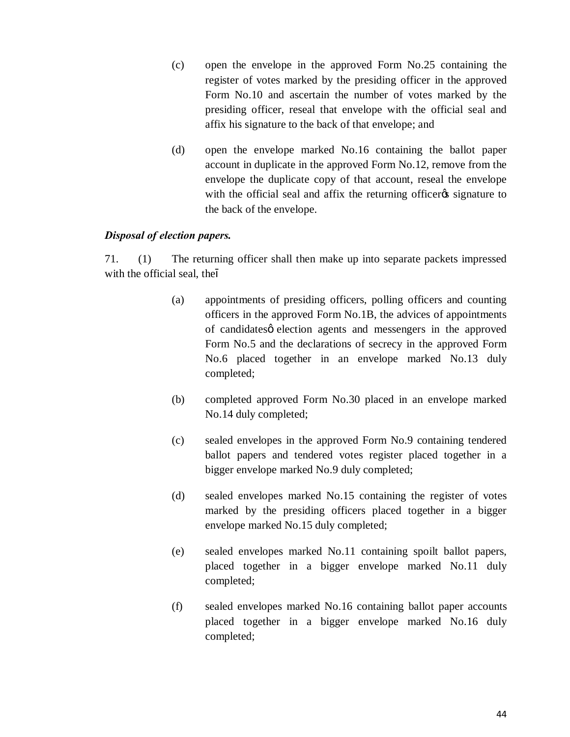- (c) open the envelope in the approved Form No.25 containing the register of votes marked by the presiding officer in the approved Form No.10 and ascertain the number of votes marked by the presiding officer, reseal that envelope with the official seal and affix his signature to the back of that envelope; and
- (d) open the envelope marked No.16 containing the ballot paper account in duplicate in the approved Form No.12, remove from the envelope the duplicate copy of that account, reseal the envelope with the official seal and affix the returning officer is signature to the back of the envelope.

### *Disposal of election papers.*

71. (1) The returning officer shall then make up into separate packets impressed with the official seal, the

- (a) appointments of presiding officers, polling officers and counting officers in the approved Form No.1B, the advices of appointments of candidates *election* agents and messengers in the approved Form No.5 and the declarations of secrecy in the approved Form No.6 placed together in an envelope marked No.13 duly completed;
- (b) completed approved Form No.30 placed in an envelope marked No.14 duly completed;
- (c) sealed envelopes in the approved Form No.9 containing tendered ballot papers and tendered votes register placed together in a bigger envelope marked No.9 duly completed;
- (d) sealed envelopes marked No.15 containing the register of votes marked by the presiding officers placed together in a bigger envelope marked No.15 duly completed;
- (e) sealed envelopes marked No.11 containing spoilt ballot papers, placed together in a bigger envelope marked No.11 duly completed;
- (f) sealed envelopes marked No.16 containing ballot paper accounts placed together in a bigger envelope marked No.16 duly completed;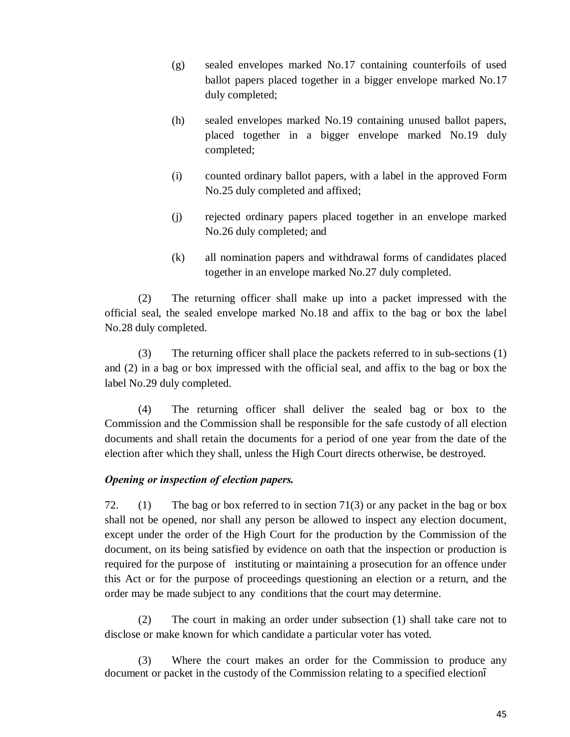- (g) sealed envelopes marked No.17 containing counterfoils of used ballot papers placed together in a bigger envelope marked No.17 duly completed;
- (h) sealed envelopes marked No.19 containing unused ballot papers, placed together in a bigger envelope marked No.19 duly completed;
- (i) counted ordinary ballot papers, with a label in the approved Form No.25 duly completed and affixed;
- (j) rejected ordinary papers placed together in an envelope marked No.26 duly completed; and
- (k) all nomination papers and withdrawal forms of candidates placed together in an envelope marked No.27 duly completed.

(2) The returning officer shall make up into a packet impressed with the official seal, the sealed envelope marked No.18 and affix to the bag or box the label No.28 duly completed.

(3) The returning officer shall place the packets referred to in sub-sections (1) and (2) in a bag or box impressed with the official seal, and affix to the bag or box the label No.29 duly completed.

(4) The returning officer shall deliver the sealed bag or box to the Commission and the Commission shall be responsible for the safe custody of all election documents and shall retain the documents for a period of one year from the date of the election after which they shall, unless the High Court directs otherwise, be destroyed.

### *Opening or inspection of election papers.*

72. (1) The bag or box referred to in section 71(3) or any packet in the bag or box shall not be opened, nor shall any person be allowed to inspect any election document, except under the order of the High Court for the production by the Commission of the document, on its being satisfied by evidence on oath that the inspection or production is required for the purpose of instituting or maintaining a prosecution for an offence under this Act or for the purpose of proceedings questioning an election or a return, and the order may be made subject to any conditions that the court may determine.

(2) The court in making an order under subsection (1) shall take care not to disclose or make known for which candidate a particular voter has voted.

(3) Where the court makes an order for the Commission to produce any document or packet in the custody of the Commission relating to a specified election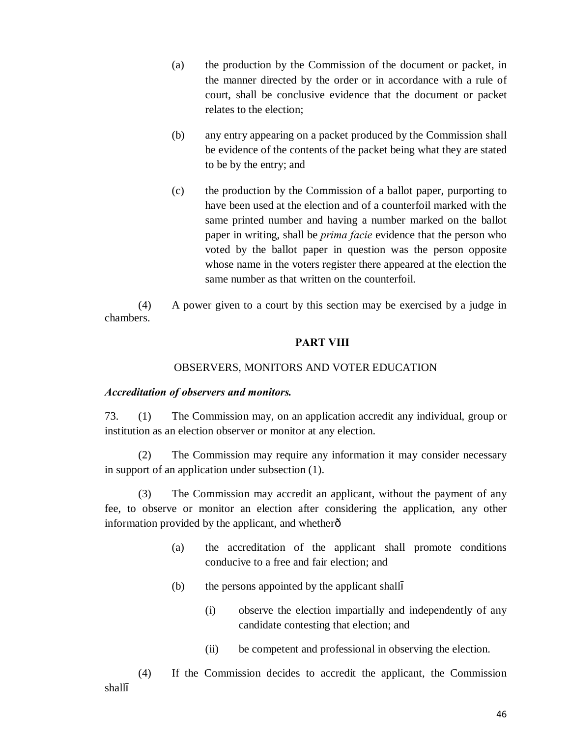- (a) the production by the Commission of the document or packet, in the manner directed by the order or in accordance with a rule of court, shall be conclusive evidence that the document or packet relates to the election;
- (b) any entry appearing on a packet produced by the Commission shall be evidence of the contents of the packet being what they are stated to be by the entry; and
- (c) the production by the Commission of a ballot paper, purporting to have been used at the election and of a counterfoil marked with the same printed number and having a number marked on the ballot paper in writing, shall be *prima facie* evidence that the person who voted by the ballot paper in question was the person opposite whose name in the voters register there appeared at the election the same number as that written on the counterfoil.

(4) A power given to a court by this section may be exercised by a judge in chambers.

#### **PART VIII**

#### OBSERVERS, MONITORS AND VOTER EDUCATION

#### *Accreditation of observers and monitors.*

73. (1) The Commission may, on an application accredit any individual, group or institution as an election observer or monitor at any election.

(2) The Commission may require any information it may consider necessary in support of an application under subsection (1).

(3) The Commission may accredit an applicant, without the payment of any fee, to observe or monitor an election after considering the application, any other information provided by the applicant, and whether $\hat{o}$ 

- (a) the accreditation of the applicant shall promote conditions conducive to a free and fair election; and
- (b) the persons appointed by the applicant shall
	- (i) observe the election impartially and independently of any candidate contesting that election; and
	- (ii) be competent and professional in observing the election.

(4) If the Commission decides to accredit the applicant, the Commission shall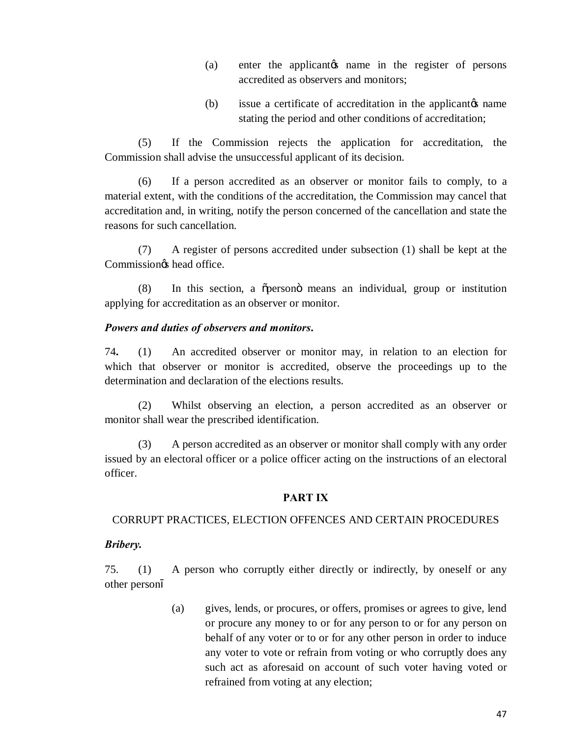- (a) enter the applicant the name in the register of persons accredited as observers and monitors;
- (b) issue a certificate of accreditation in the applicant  $\alpha$  name stating the period and other conditions of accreditation;

(5) If the Commission rejects the application for accreditation, the Commission shall advise the unsuccessful applicant of its decision.

(6) If a person accredited as an observer or monitor fails to comply, to a material extent, with the conditions of the accreditation, the Commission may cancel that accreditation and, in writing, notify the person concerned of the cancellation and state the reasons for such cancellation.

(7) A register of persons accredited under subsection (1) shall be kept at the Commission<sub>os</sub> head office.

(8) In this section, a õpersonö means an individual, group or institution applying for accreditation as an observer or monitor.

#### *Powers and duties of observers and monitors***.**

74**.** (1) An accredited observer or monitor may, in relation to an election for which that observer or monitor is accredited, observe the proceedings up to the determination and declaration of the elections results.

(2) Whilst observing an election, a person accredited as an observer or monitor shall wear the prescribed identification.

(3) A person accredited as an observer or monitor shall comply with any order issued by an electoral officer or a police officer acting on the instructions of an electoral officer.

#### **PART IX**

### CORRUPT PRACTICES, ELECTION OFFENCES AND CERTAIN PROCEDURES

### *Bribery.*

75. (1) A person who corruptly either directly or indirectly, by oneself or any other person

> (a) gives, lends, or procures, or offers, promises or agrees to give, lend or procure any money to or for any person to or for any person on behalf of any voter or to or for any other person in order to induce any voter to vote or refrain from voting or who corruptly does any such act as aforesaid on account of such voter having voted or refrained from voting at any election;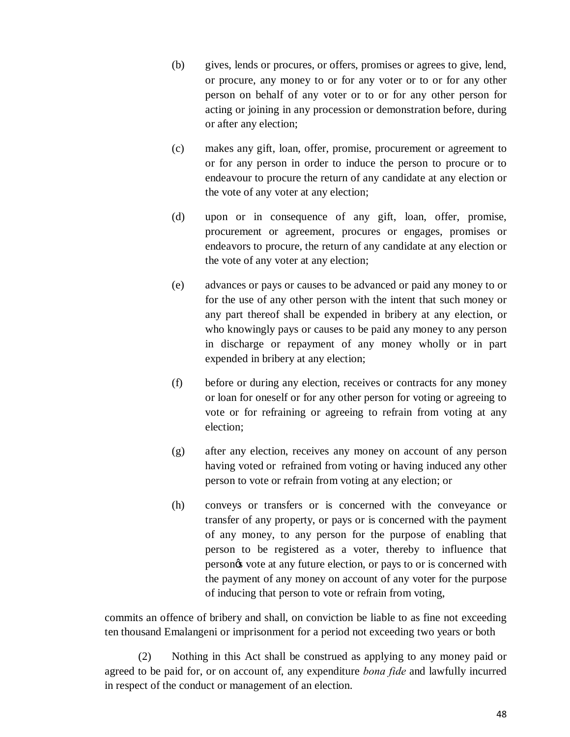- (b) gives, lends or procures, or offers, promises or agrees to give, lend, or procure, any money to or for any voter or to or for any other person on behalf of any voter or to or for any other person for acting or joining in any procession or demonstration before, during or after any election;
- (c) makes any gift, loan, offer, promise, procurement or agreement to or for any person in order to induce the person to procure or to endeavour to procure the return of any candidate at any election or the vote of any voter at any election;
- (d) upon or in consequence of any gift, loan, offer, promise, procurement or agreement, procures or engages, promises or endeavors to procure, the return of any candidate at any election or the vote of any voter at any election;
- (e) advances or pays or causes to be advanced or paid any money to or for the use of any other person with the intent that such money or any part thereof shall be expended in bribery at any election, or who knowingly pays or causes to be paid any money to any person in discharge or repayment of any money wholly or in part expended in bribery at any election;
- (f) before or during any election, receives or contracts for any money or loan for oneself or for any other person for voting or agreeing to vote or for refraining or agreeing to refrain from voting at any election;
- (g) after any election, receives any money on account of any person having voted or refrained from voting or having induced any other person to vote or refrain from voting at any election; or
- (h) conveys or transfers or is concerned with the conveyance or transfer of any property, or pays or is concerned with the payment of any money, to any person for the purpose of enabling that person to be registered as a voter, thereby to influence that persongs vote at any future election, or pays to or is concerned with the payment of any money on account of any voter for the purpose of inducing that person to vote or refrain from voting,

commits an offence of bribery and shall, on conviction be liable to as fine not exceeding ten thousand Emalangeni or imprisonment for a period not exceeding two years or both

(2) Nothing in this Act shall be construed as applying to any money paid or agreed to be paid for, or on account of, any expenditure *bona fide* and lawfully incurred in respect of the conduct or management of an election.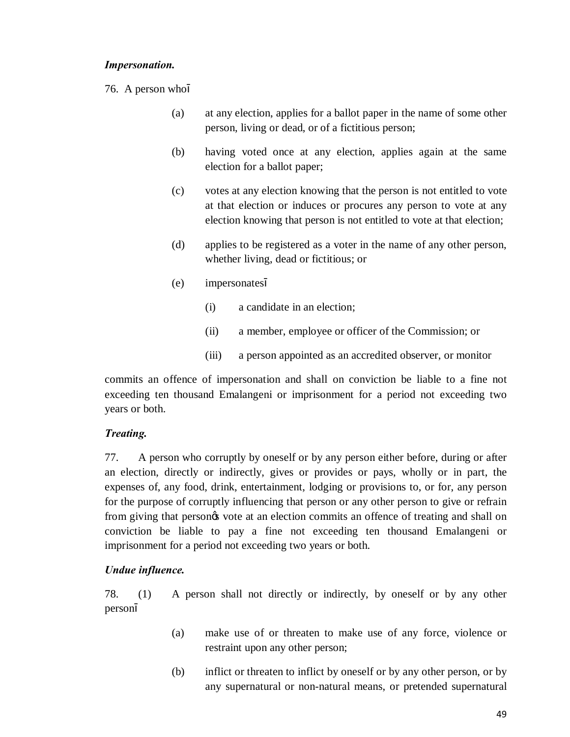#### *Impersonation.*

- 76. A person who
	- (a) at any election, applies for a ballot paper in the name of some other person, living or dead, or of a fictitious person;
	- (b) having voted once at any election, applies again at the same election for a ballot paper;
	- (c) votes at any election knowing that the person is not entitled to vote at that election or induces or procures any person to vote at any election knowing that person is not entitled to vote at that election;
	- (d) applies to be registered as a voter in the name of any other person, whether living, dead or fictitious; or
	- (e) impersonates
		- (i) a candidate in an election;
		- (ii) a member, employee or officer of the Commission; or
		- (iii) a person appointed as an accredited observer, or monitor

commits an offence of impersonation and shall on conviction be liable to a fine not exceeding ten thousand Emalangeni or imprisonment for a period not exceeding two years or both.

### *Treating.*

77. A person who corruptly by oneself or by any person either before, during or after an election, directly or indirectly, gives or provides or pays, wholly or in part, the expenses of, any food, drink, entertainment, lodging or provisions to, or for, any person for the purpose of corruptly influencing that person or any other person to give or refrain from giving that persongs vote at an election commits an offence of treating and shall on conviction be liable to pay a fine not exceeding ten thousand Emalangeni or imprisonment for a period not exceeding two years or both.

### *Undue influence.*

78. (1) A person shall not directly or indirectly, by oneself or by any other person

- (a) make use of or threaten to make use of any force, violence or restraint upon any other person;
- (b) inflict or threaten to inflict by oneself or by any other person, or by any supernatural or non-natural means, or pretended supernatural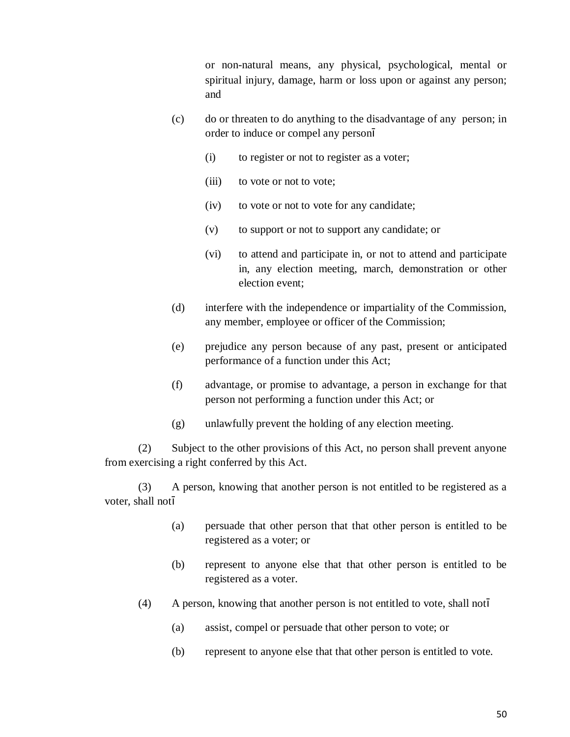or non-natural means, any physical, psychological, mental or spiritual injury, damage, harm or loss upon or against any person; and

- (c) do or threaten to do anything to the disadvantage of any person; in order to induce or compel any person
	- (i) to register or not to register as a voter;
	- (iii) to vote or not to vote;
	- (iv) to vote or not to vote for any candidate;
	- (v) to support or not to support any candidate; or
	- (vi) to attend and participate in, or not to attend and participate in, any election meeting, march, demonstration or other election event;
- (d) interfere with the independence or impartiality of the Commission, any member, employee or officer of the Commission;
- (e) prejudice any person because of any past, present or anticipated performance of a function under this Act;
- (f) advantage, or promise to advantage, a person in exchange for that person not performing a function under this Act; or
- (g) unlawfully prevent the holding of any election meeting.

 (2) Subject to the other provisions of this Act, no person shall prevent anyone from exercising a right conferred by this Act.

(3) A person, knowing that another person is not entitled to be registered as a voter, shall not

- (a) persuade that other person that that other person is entitled to be registered as a voter; or
- (b) represent to anyone else that that other person is entitled to be registered as a voter.
- (4) A person, knowing that another person is not entitled to vote, shall not
	- (a) assist, compel or persuade that other person to vote; or
	- (b) represent to anyone else that that other person is entitled to vote.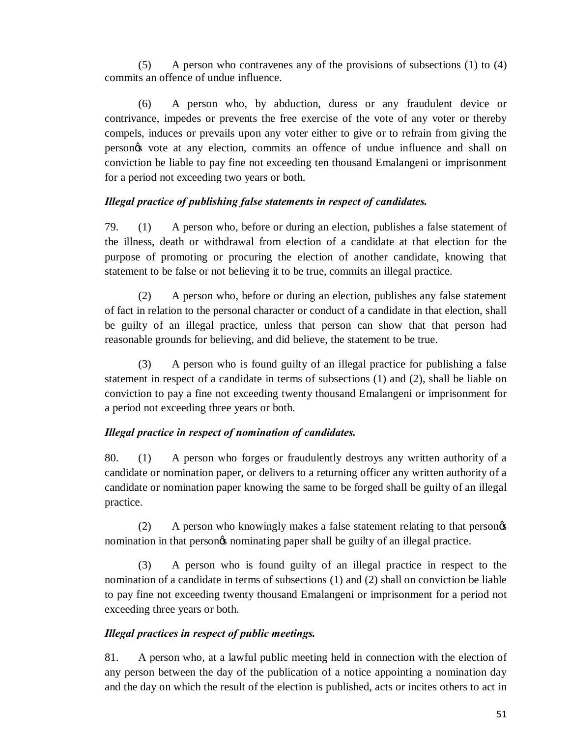(5) A person who contravenes any of the provisions of subsections (1) to (4) commits an offence of undue influence.

(6) A person who, by abduction, duress or any fraudulent device or contrivance, impedes or prevents the free exercise of the vote of any voter or thereby compels, induces or prevails upon any voter either to give or to refrain from giving the person's vote at any election, commits an offence of undue influence and shall on conviction be liable to pay fine not exceeding ten thousand Emalangeni or imprisonment for a period not exceeding two years or both.

# *Illegal practice of publishing false statements in respect of candidates.*

79. (1) A person who, before or during an election, publishes a false statement of the illness, death or withdrawal from election of a candidate at that election for the purpose of promoting or procuring the election of another candidate, knowing that statement to be false or not believing it to be true, commits an illegal practice.

(2) A person who, before or during an election, publishes any false statement of fact in relation to the personal character or conduct of a candidate in that election, shall be guilty of an illegal practice, unless that person can show that that person had reasonable grounds for believing, and did believe, the statement to be true.

(3) A person who is found guilty of an illegal practice for publishing a false statement in respect of a candidate in terms of subsections (1) and (2), shall be liable on conviction to pay a fine not exceeding twenty thousand Emalangeni or imprisonment for a period not exceeding three years or both.

# *Illegal practice in respect of nomination of candidates.*

80. (1) A person who forges or fraudulently destroys any written authority of a candidate or nomination paper, or delivers to a returning officer any written authority of a candidate or nomination paper knowing the same to be forged shall be guilty of an illegal practice.

(2) A person who knowingly makes a false statement relating to that persongs nomination in that persongs nominating paper shall be guilty of an illegal practice.

(3) A person who is found guilty of an illegal practice in respect to the nomination of a candidate in terms of subsections (1) and (2) shall on conviction be liable to pay fine not exceeding twenty thousand Emalangeni or imprisonment for a period not exceeding three years or both.

### *Illegal practices in respect of public meetings.*

81. A person who, at a lawful public meeting held in connection with the election of any person between the day of the publication of a notice appointing a nomination day and the day on which the result of the election is published, acts or incites others to act in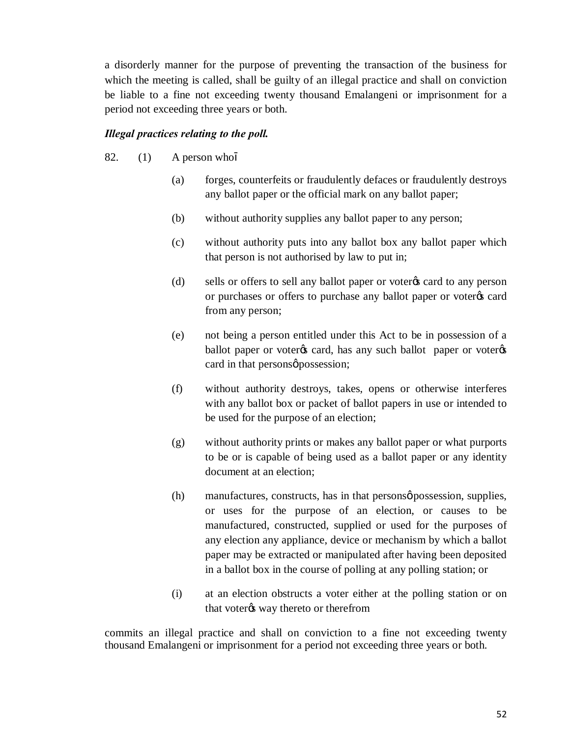a disorderly manner for the purpose of preventing the transaction of the business for which the meeting is called, shall be guilty of an illegal practice and shall on conviction be liable to a fine not exceeding twenty thousand Emalangeni or imprisonment for a period not exceeding three years or both.

### *Illegal practices relating to the poll.*

- 82. (1) A person who
	- (a) forges, counterfeits or fraudulently defaces or fraudulently destroys any ballot paper or the official mark on any ballot paper;
	- (b) without authority supplies any ballot paper to any person;
	- (c) without authority puts into any ballot box any ballot paper which that person is not authorised by law to put in;
	- (d) sells or offers to sell any ballot paper or voter<sub> $\circ$ </sub> card to any person or purchases or offers to purchase any ballot paper or voter $\alpha$  card from any person;
	- (e) not being a person entitled under this Act to be in possession of a ballot paper or voter $\alpha$  card, has any such ballot paper or voter $\alpha$ card in that persons  $\phi$  possession;
	- (f) without authority destroys, takes, opens or otherwise interferes with any ballot box or packet of ballot papers in use or intended to be used for the purpose of an election;
	- (g) without authority prints or makes any ballot paper or what purports to be or is capable of being used as a ballot paper or any identity document at an election;
	- (h) manufactures, constructs, has in that persons  $\phi$  possession, supplies, or uses for the purpose of an election, or causes to be manufactured, constructed, supplied or used for the purposes of any election any appliance, device or mechanism by which a ballot paper may be extracted or manipulated after having been deposited in a ballot box in the course of polling at any polling station; or
	- (i) at an election obstructs a voter either at the polling station or on that voter $\alpha$  way thereto or therefrom

commits an illegal practice and shall on conviction to a fine not exceeding twenty thousand Emalangeni or imprisonment for a period not exceeding three years or both.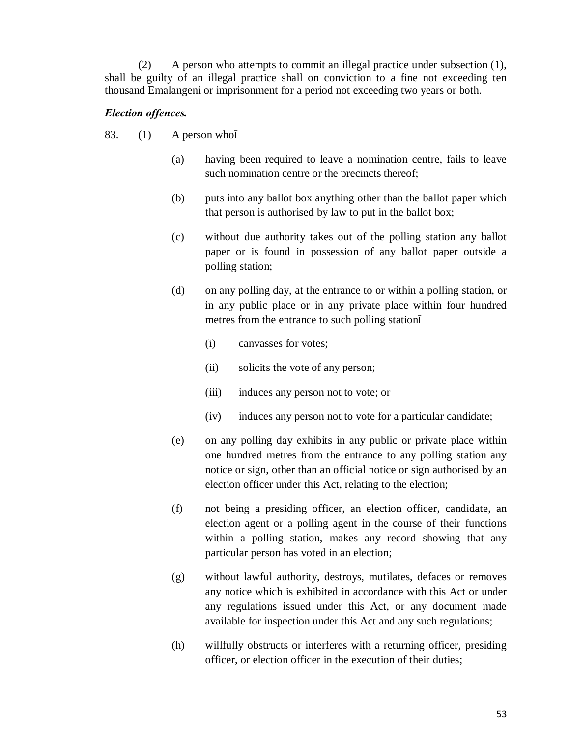(2) A person who attempts to commit an illegal practice under subsection (1), shall be guilty of an illegal practice shall on conviction to a fine not exceeding ten thousand Emalangeni or imprisonment for a period not exceeding two years or both.

#### *Election offences.*

- 83. (1) A person who
	- (a) having been required to leave a nomination centre, fails to leave such nomination centre or the precincts thereof;
	- (b) puts into any ballot box anything other than the ballot paper which that person is authorised by law to put in the ballot box;
	- (c) without due authority takes out of the polling station any ballot paper or is found in possession of any ballot paper outside a polling station;
	- (d) on any polling day, at the entrance to or within a polling station, or in any public place or in any private place within four hundred metres from the entrance to such polling station
		- (i) canvasses for votes;
		- (ii) solicits the vote of any person;
		- (iii) induces any person not to vote; or
		- (iv) induces any person not to vote for a particular candidate;
	- (e) on any polling day exhibits in any public or private place within one hundred metres from the entrance to any polling station any notice or sign, other than an official notice or sign authorised by an election officer under this Act, relating to the election;
	- (f) not being a presiding officer, an election officer, candidate, an election agent or a polling agent in the course of their functions within a polling station, makes any record showing that any particular person has voted in an election;
	- (g) without lawful authority, destroys, mutilates, defaces or removes any notice which is exhibited in accordance with this Act or under any regulations issued under this Act, or any document made available for inspection under this Act and any such regulations;
	- (h) willfully obstructs or interferes with a returning officer, presiding officer, or election officer in the execution of their duties;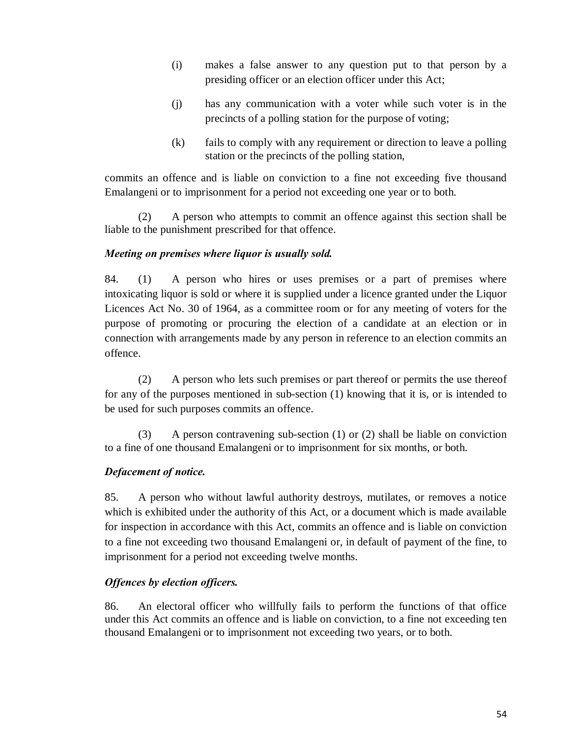- (i) makes a false answer to any question put to that person by a presiding officer or an election officer under this Act;
- (j) has any communication with a voter while such voter is in the precincts of a polling station for the purpose of voting;
- (k) fails to comply with any requirement or direction to leave a polling station or the precincts of the polling station,

commits an offence and is liable on conviction to a fine not exceeding five thousand Emalangeni or to imprisonment for a period not exceeding one year or to both.

(2) A person who attempts to commit an offence against this section shall be liable to the punishment prescribed for that offence.

# *Meeting on premises where liquor is usually sold.*

84. (1) A person who hires or uses premises or a part of premises where intoxicating liquor is sold or where it is supplied under a licence granted under the Liquor Licences Act No. 30 of 1964, as a committee room or for any meeting of voters for the purpose of promoting or procuring the election of a candidate at an election or in connection with arrangements made by any person in reference to an election commits an offence.

(2) A person who lets such premises or part thereof or permits the use thereof for any of the purposes mentioned in sub-section (1) knowing that it is, or is intended to be used for such purposes commits an offence.

(3) A person contravening sub-section (1) or (2) shall be liable on conviction to a fine of one thousand Emalangeni or to imprisonment for six months, or both.

# *Defacement of notice.*

85. A person who without lawful authority destroys, mutilates, or removes a notice which is exhibited under the authority of this Act, or a document which is made available for inspection in accordance with this Act, commits an offence and is liable on conviction to a fine not exceeding two thousand Emalangeni or, in default of payment of the fine, to imprisonment for a period not exceeding twelve months.

# *Offences by election officers.*

86. An electoral officer who willfully fails to perform the functions of that office under this Act commits an offence and is liable on conviction, to a fine not exceeding ten thousand Emalangeni or to imprisonment not exceeding two years, or to both.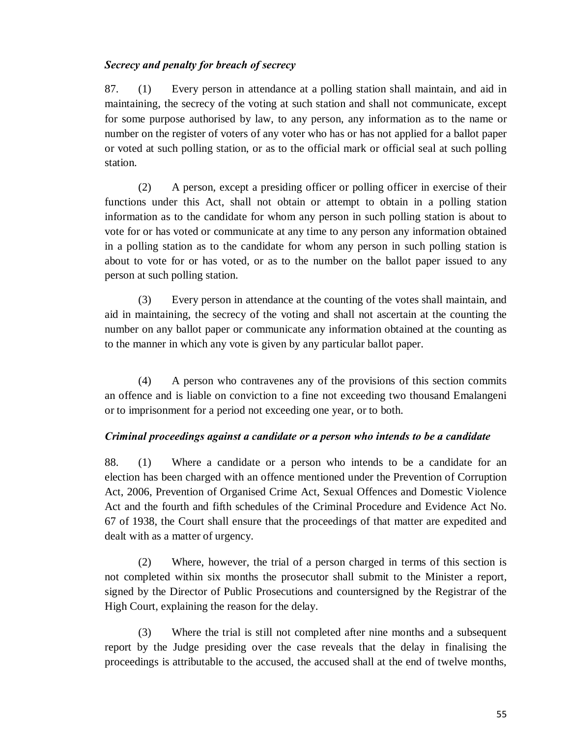#### *Secrecy and penalty for breach of secrecy*

87. (1) Every person in attendance at a polling station shall maintain, and aid in maintaining, the secrecy of the voting at such station and shall not communicate, except for some purpose authorised by law, to any person, any information as to the name or number on the register of voters of any voter who has or has not applied for a ballot paper or voted at such polling station, or as to the official mark or official seal at such polling station.

(2) A person, except a presiding officer or polling officer in exercise of their functions under this Act, shall not obtain or attempt to obtain in a polling station information as to the candidate for whom any person in such polling station is about to vote for or has voted or communicate at any time to any person any information obtained in a polling station as to the candidate for whom any person in such polling station is about to vote for or has voted, or as to the number on the ballot paper issued to any person at such polling station.

(3) Every person in attendance at the counting of the votes shall maintain, and aid in maintaining, the secrecy of the voting and shall not ascertain at the counting the number on any ballot paper or communicate any information obtained at the counting as to the manner in which any vote is given by any particular ballot paper.

(4) A person who contravenes any of the provisions of this section commits an offence and is liable on conviction to a fine not exceeding two thousand Emalangeni or to imprisonment for a period not exceeding one year, or to both.

#### *Criminal proceedings against a candidate or a person who intends to be a candidate*

88. (1) Where a candidate or a person who intends to be a candidate for an election has been charged with an offence mentioned under the Prevention of Corruption Act, 2006, Prevention of Organised Crime Act, Sexual Offences and Domestic Violence Act and the fourth and fifth schedules of the Criminal Procedure and Evidence Act No. 67 of 1938, the Court shall ensure that the proceedings of that matter are expedited and dealt with as a matter of urgency.

(2) Where, however, the trial of a person charged in terms of this section is not completed within six months the prosecutor shall submit to the Minister a report, signed by the Director of Public Prosecutions and countersigned by the Registrar of the High Court, explaining the reason for the delay.

(3) Where the trial is still not completed after nine months and a subsequent report by the Judge presiding over the case reveals that the delay in finalising the proceedings is attributable to the accused, the accused shall at the end of twelve months,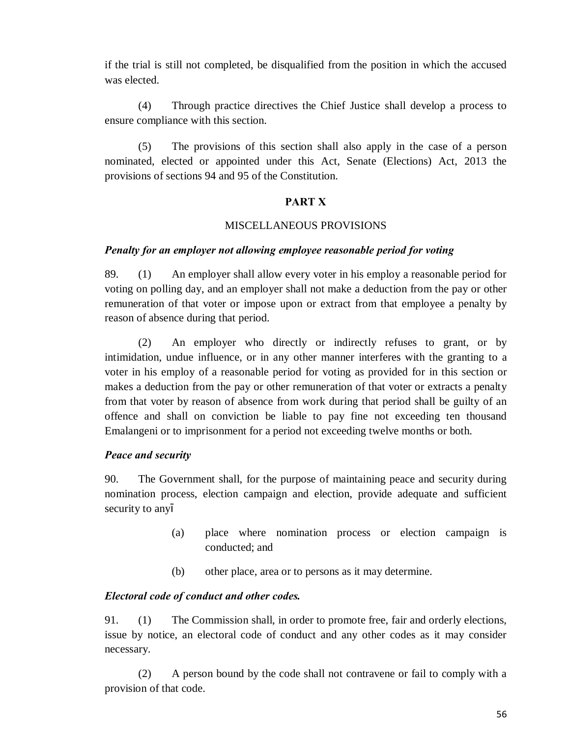if the trial is still not completed, be disqualified from the position in which the accused was elected.

(4) Through practice directives the Chief Justice shall develop a process to ensure compliance with this section.

(5) The provisions of this section shall also apply in the case of a person nominated, elected or appointed under this Act, Senate (Elections) Act, 2013 the provisions of sections 94 and 95 of the Constitution.

#### **PART X**

#### MISCELLANEOUS PROVISIONS

#### *Penalty for an employer not allowing employee reasonable period for voting*

89. (1) An employer shall allow every voter in his employ a reasonable period for voting on polling day, and an employer shall not make a deduction from the pay or other remuneration of that voter or impose upon or extract from that employee a penalty by reason of absence during that period.

(2) An employer who directly or indirectly refuses to grant, or by intimidation, undue influence, or in any other manner interferes with the granting to a voter in his employ of a reasonable period for voting as provided for in this section or makes a deduction from the pay or other remuneration of that voter or extracts a penalty from that voter by reason of absence from work during that period shall be guilty of an offence and shall on conviction be liable to pay fine not exceeding ten thousand Emalangeni or to imprisonment for a period not exceeding twelve months or both.

### *Peace and security*

90. The Government shall, for the purpose of maintaining peace and security during nomination process, election campaign and election, provide adequate and sufficient security to any

- (a) place where nomination process or election campaign is conducted; and
- (b) other place, area or to persons as it may determine.

### *Electoral code of conduct and other codes.*

91. (1) The Commission shall, in order to promote free, fair and orderly elections, issue by notice, an electoral code of conduct and any other codes as it may consider necessary.

(2) A person bound by the code shall not contravene or fail to comply with a provision of that code.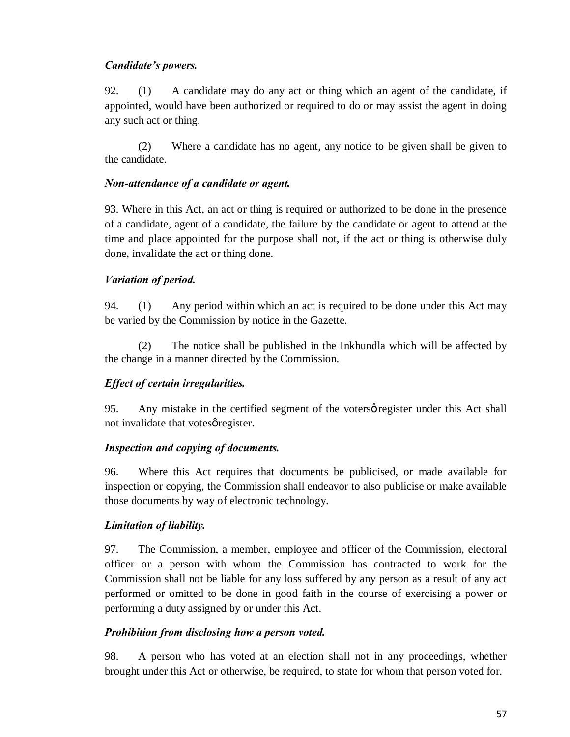### *Candidate's powers.*

92. (1) A candidate may do any act or thing which an agent of the candidate, if appointed, would have been authorized or required to do or may assist the agent in doing any such act or thing.

(2) Where a candidate has no agent, any notice to be given shall be given to the candidate.

#### *Non-attendance of a candidate or agent.*

93. Where in this Act, an act or thing is required or authorized to be done in the presence of a candidate, agent of a candidate, the failure by the candidate or agent to attend at the time and place appointed for the purpose shall not, if the act or thing is otherwise duly done, invalidate the act or thing done.

### *Variation of period.*

94. (1) Any period within which an act is required to be done under this Act may be varied by the Commission by notice in the Gazette.

(2) The notice shall be published in the Inkhundla which will be affected by the change in a manner directed by the Commission.

### *Effect of certain irregularities.*

95. Any mistake in the certified segment of the votersø register under this Act shall not invalidate that votes gregister.

### *Inspection and copying of documents.*

96. Where this Act requires that documents be publicised, or made available for inspection or copying, the Commission shall endeavor to also publicise or make available those documents by way of electronic technology.

### *Limitation of liability.*

97. The Commission, a member, employee and officer of the Commission, electoral officer or a person with whom the Commission has contracted to work for the Commission shall not be liable for any loss suffered by any person as a result of any act performed or omitted to be done in good faith in the course of exercising a power or performing a duty assigned by or under this Act.

### *Prohibition from disclosing how a person voted.*

98. A person who has voted at an election shall not in any proceedings, whether brought under this Act or otherwise, be required, to state for whom that person voted for.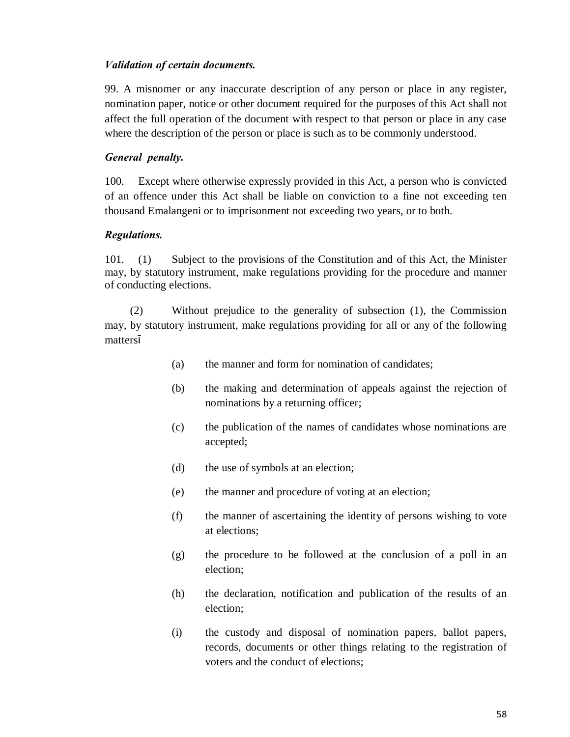#### *Validation of certain documents.*

99. A misnomer or any inaccurate description of any person or place in any register, nomination paper, notice or other document required for the purposes of this Act shall not affect the full operation of the document with respect to that person or place in any case where the description of the person or place is such as to be commonly understood.

#### *General penalty.*

100. Except where otherwise expressly provided in this Act, a person who is convicted of an offence under this Act shall be liable on conviction to a fine not exceeding ten thousand Emalangeni or to imprisonment not exceeding two years, or to both.

### *Regulations.*

101. (1) Subject to the provisions of the Constitution and of this Act, the Minister may, by statutory instrument, make regulations providing for the procedure and manner of conducting elections.

 (2) Without prejudice to the generality of subsection (1), the Commission may, by statutory instrument, make regulations providing for all or any of the following matters

- (a) the manner and form for nomination of candidates;
- (b) the making and determination of appeals against the rejection of nominations by a returning officer;
- (c) the publication of the names of candidates whose nominations are accepted;
- (d) the use of symbols at an election;
- (e) the manner and procedure of voting at an election;
- (f) the manner of ascertaining the identity of persons wishing to vote at elections;
- (g) the procedure to be followed at the conclusion of a poll in an election;
- (h) the declaration, notification and publication of the results of an election;
- (i) the custody and disposal of nomination papers, ballot papers, records, documents or other things relating to the registration of voters and the conduct of elections;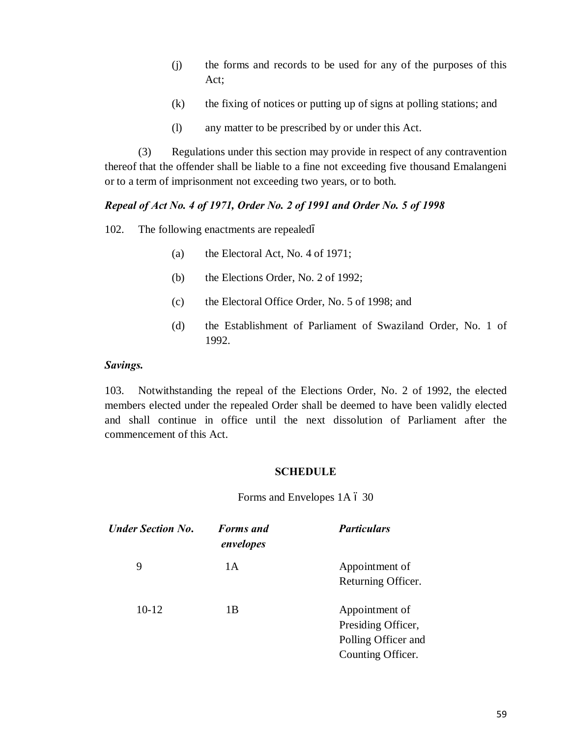- (j) the forms and records to be used for any of the purposes of this Act;
- (k) the fixing of notices or putting up of signs at polling stations; and
- (l) any matter to be prescribed by or under this Act.

(3) Regulations under this section may provide in respect of any contravention thereof that the offender shall be liable to a fine not exceeding five thousand Emalangeni or to a term of imprisonment not exceeding two years, or to both.

#### *Repeal of Act No. 4 of 1971, Order No. 2 of 1991 and Order No. 5 of 1998*

102. The following enactments are repealed

- (a) the Electoral Act, No. 4 of 1971;
- (b) the Elections Order, No. 2 of 1992;
- (c) the Electoral Office Order, No. 5 of 1998; and
- (d) the Establishment of Parliament of Swaziland Order, No. 1 of 1992.

#### *Savings.*

103. Notwithstanding the repeal of the Elections Order, No. 2 of 1992, the elected members elected under the repealed Order shall be deemed to have been validly elected and shall continue in office until the next dissolution of Parliament after the commencement of this Act.

#### **SCHEDULE**

Forms and Envelopes 1A  $6$  30

| <b>Under Section No.</b> | <b>Forms</b> and<br>envelopes | <b>Particulars</b>                                                               |
|--------------------------|-------------------------------|----------------------------------------------------------------------------------|
| 9                        | 1A                            | Appointment of<br>Returning Officer.                                             |
| $10-12$                  | 1B                            | Appointment of<br>Presiding Officer,<br>Polling Officer and<br>Counting Officer. |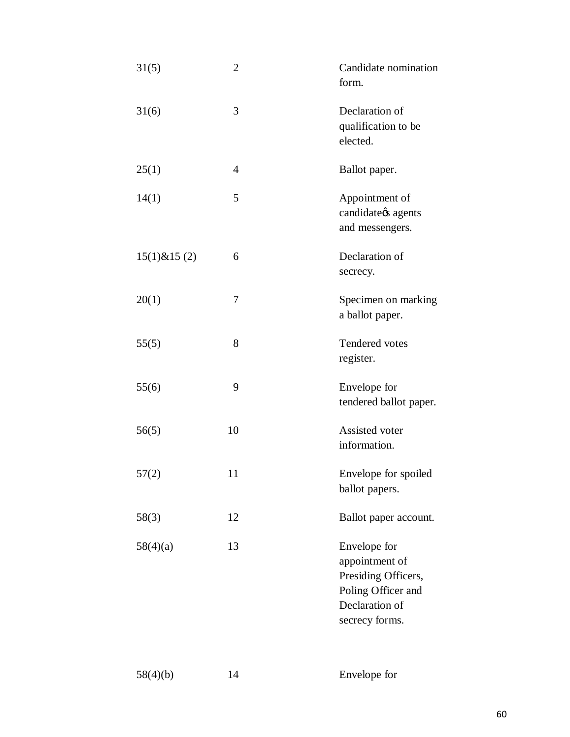| 31(5)             | $\overline{2}$ | Candidate nomination<br>form.                                                                                   |
|-------------------|----------------|-----------------------------------------------------------------------------------------------------------------|
| 31(6)             | 3              | Declaration of<br>qualification to be<br>elected.                                                               |
| 25(1)             | 4              | Ballot paper.                                                                                                   |
| 14(1)             | 5              | Appointment of<br>candidate $\alpha$ s agents<br>and messengers.                                                |
| $15(1)$ & $15(2)$ | 6              | Declaration of<br>secrecy.                                                                                      |
| 20(1)             | 7              | Specimen on marking<br>a ballot paper.                                                                          |
| 55(5)             | 8              | Tendered votes<br>register.                                                                                     |
| 55(6)             | 9              | Envelope for<br>tendered ballot paper.                                                                          |
| 56(5)             | 10             | Assisted voter<br>information.                                                                                  |
| 57(2)             | 11             | Envelope for spoiled<br>ballot papers.                                                                          |
| 58(3)             | 12             | Ballot paper account.                                                                                           |
| 58(4)(a)          | 13             | Envelope for<br>appointment of<br>Presiding Officers,<br>Poling Officer and<br>Declaration of<br>secrecy forms. |

58(4)(b) 14 Envelope for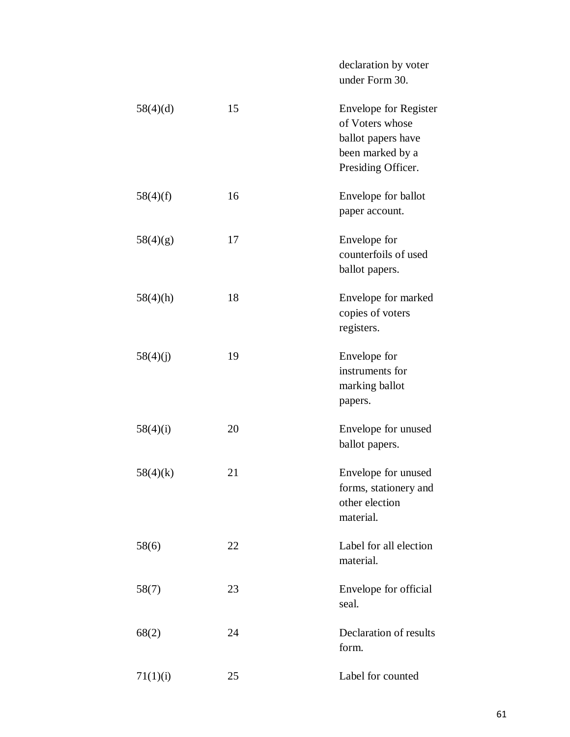declaration by voter under Form 30.

| 58(4)(d) | 15 | <b>Envelope for Register</b><br>of Voters whose<br>ballot papers have<br>been marked by a<br>Presiding Officer. |
|----------|----|-----------------------------------------------------------------------------------------------------------------|
| 58(4)(f) | 16 | Envelope for ballot<br>paper account.                                                                           |
| 58(4)(g) | 17 | Envelope for<br>counterfoils of used<br>ballot papers.                                                          |
| 58(4)(h) | 18 | Envelope for marked<br>copies of voters<br>registers.                                                           |
| 58(4)(j) | 19 | Envelope for<br>instruments for<br>marking ballot<br>papers.                                                    |
| 58(4)(i) | 20 | Envelope for unused<br>ballot papers.                                                                           |
| 58(4)(k) | 21 | Envelope for unused<br>forms, stationery and<br>other election<br>material.                                     |
| 58(6)    | 22 | Label for all election<br>material.                                                                             |
| 58(7)    | 23 | Envelope for official<br>seal.                                                                                  |
| 68(2)    | 24 | Declaration of results<br>form.                                                                                 |
| 71(1)(i) | 25 | Label for counted                                                                                               |